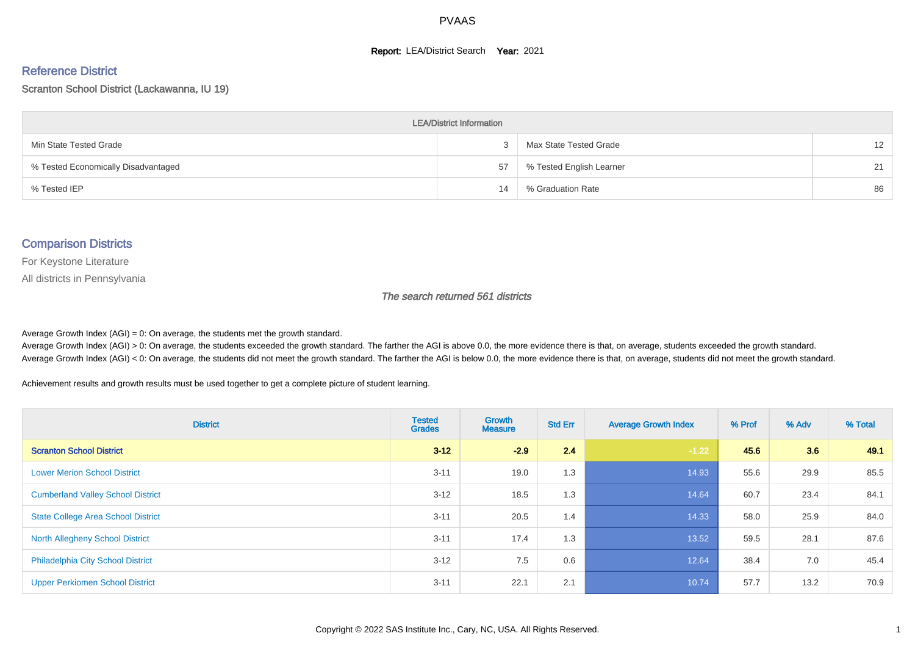#### **Report: LEA/District Search Year: 2021**

#### Reference District

Scranton School District (Lackawanna, IU 19)

| <b>LEA/District Information</b>     |    |                          |                   |  |  |  |  |  |  |  |
|-------------------------------------|----|--------------------------|-------------------|--|--|--|--|--|--|--|
| Min State Tested Grade              |    | Max State Tested Grade   | $12 \overline{ }$ |  |  |  |  |  |  |  |
| % Tested Economically Disadvantaged | 57 | % Tested English Learner | 21                |  |  |  |  |  |  |  |
| % Tested IEP                        | 14 | % Graduation Rate        | 86                |  |  |  |  |  |  |  |

#### Comparison Districts

For Keystone Literature

All districts in Pennsylvania

The search returned 561 districts

Average Growth Index  $(AGI) = 0$ : On average, the students met the growth standard.

Average Growth Index (AGI) > 0: On average, the students exceeded the growth standard. The farther the AGI is above 0.0, the more evidence there is that, on average, students exceeded the growth standard. Average Growth Index (AGI) < 0: On average, the students did not meet the growth standard. The farther the AGI is below 0.0, the more evidence there is that, on average, students did not meet the growth standard.

Achievement results and growth results must be used together to get a complete picture of student learning.

| <b>District</b>                           | <b>Tested</b><br><b>Grades</b> | Growth<br><b>Measure</b> | <b>Std Err</b> | <b>Average Growth Index</b> | % Prof | % Adv | % Total |
|-------------------------------------------|--------------------------------|--------------------------|----------------|-----------------------------|--------|-------|---------|
| <b>Scranton School District</b>           | $3 - 12$                       | $-2.9$                   | 2.4            | $-1.22$                     | 45.6   | 3.6   | 49.1    |
| <b>Lower Merion School District</b>       | $3 - 11$                       | 19.0                     | 1.3            | 14.93                       | 55.6   | 29.9  | 85.5    |
| <b>Cumberland Valley School District</b>  | $3 - 12$                       | 18.5                     | 1.3            | 14.64                       | 60.7   | 23.4  | 84.1    |
| <b>State College Area School District</b> | $3 - 11$                       | 20.5                     | 1.4            | 14.33                       | 58.0   | 25.9  | 84.0    |
| <b>North Allegheny School District</b>    | $3 - 11$                       | 17.4                     | 1.3            | 13.52                       | 59.5   | 28.1  | 87.6    |
| <b>Philadelphia City School District</b>  | $3 - 12$                       | 7.5                      | 0.6            | 12.64                       | 38.4   | 7.0   | 45.4    |
| <b>Upper Perkiomen School District</b>    | $3 - 11$                       | 22.1                     | 2.1            | 10.74                       | 57.7   | 13.2  | 70.9    |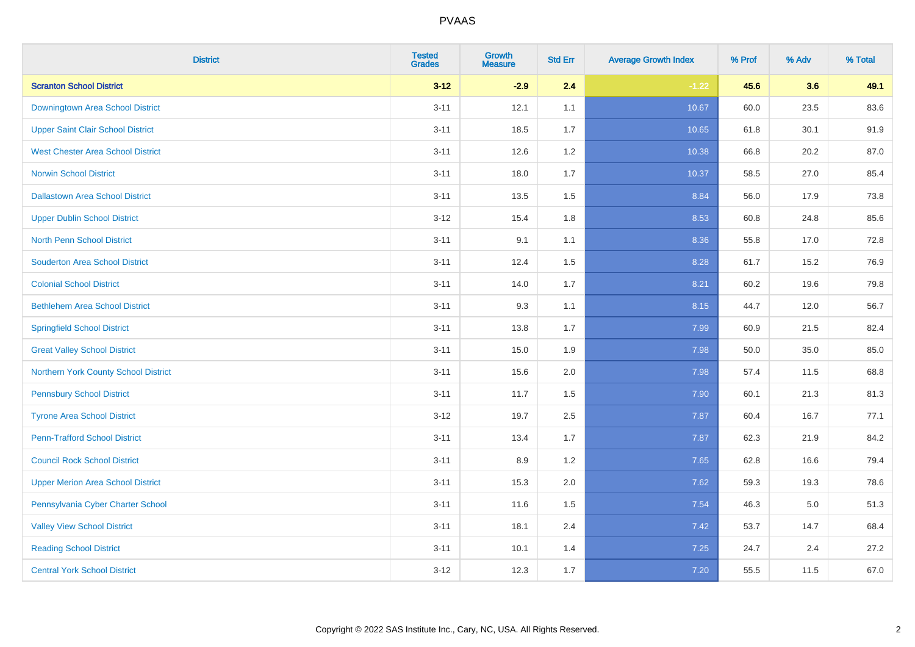| <b>District</b>                          | <b>Tested</b><br><b>Grades</b> | Growth<br><b>Measure</b> | <b>Std Err</b> | <b>Average Growth Index</b> | % Prof | % Adv | % Total |
|------------------------------------------|--------------------------------|--------------------------|----------------|-----------------------------|--------|-------|---------|
| <b>Scranton School District</b>          | $3 - 12$                       | $-2.9$                   | 2.4            | $-1.22$                     | 45.6   | 3.6   | 49.1    |
| Downingtown Area School District         | $3 - 11$                       | 12.1                     | 1.1            | 10.67                       | 60.0   | 23.5  | 83.6    |
| <b>Upper Saint Clair School District</b> | $3 - 11$                       | 18.5                     | 1.7            | 10.65                       | 61.8   | 30.1  | 91.9    |
| <b>West Chester Area School District</b> | $3 - 11$                       | 12.6                     | $1.2\,$        | 10.38                       | 66.8   | 20.2  | 87.0    |
| <b>Norwin School District</b>            | $3 - 11$                       | 18.0                     | 1.7            | 10.37                       | 58.5   | 27.0  | 85.4    |
| <b>Dallastown Area School District</b>   | $3 - 11$                       | 13.5                     | 1.5            | 8.84                        | 56.0   | 17.9  | 73.8    |
| <b>Upper Dublin School District</b>      | $3 - 12$                       | 15.4                     | 1.8            | 8.53                        | 60.8   | 24.8  | 85.6    |
| <b>North Penn School District</b>        | $3 - 11$                       | 9.1                      | 1.1            | 8.36                        | 55.8   | 17.0  | 72.8    |
| <b>Souderton Area School District</b>    | $3 - 11$                       | 12.4                     | 1.5            | 8.28                        | 61.7   | 15.2  | 76.9    |
| <b>Colonial School District</b>          | $3 - 11$                       | 14.0                     | 1.7            | 8.21                        | 60.2   | 19.6  | 79.8    |
| <b>Bethlehem Area School District</b>    | $3 - 11$                       | 9.3                      | 1.1            | 8.15                        | 44.7   | 12.0  | 56.7    |
| <b>Springfield School District</b>       | $3 - 11$                       | 13.8                     | 1.7            | 7.99                        | 60.9   | 21.5  | 82.4    |
| <b>Great Valley School District</b>      | $3 - 11$                       | 15.0                     | 1.9            | 7.98                        | 50.0   | 35.0  | 85.0    |
| Northern York County School District     | $3 - 11$                       | 15.6                     | 2.0            | 7.98                        | 57.4   | 11.5  | 68.8    |
| <b>Pennsbury School District</b>         | $3 - 11$                       | 11.7                     | 1.5            | 7.90                        | 60.1   | 21.3  | 81.3    |
| <b>Tyrone Area School District</b>       | $3 - 12$                       | 19.7                     | 2.5            | 7.87                        | 60.4   | 16.7  | 77.1    |
| <b>Penn-Trafford School District</b>     | $3 - 11$                       | 13.4                     | 1.7            | 7.87                        | 62.3   | 21.9  | 84.2    |
| <b>Council Rock School District</b>      | $3 - 11$                       | 8.9                      | 1.2            | 7.65                        | 62.8   | 16.6  | 79.4    |
| <b>Upper Merion Area School District</b> | $3 - 11$                       | 15.3                     | 2.0            | 7.62                        | 59.3   | 19.3  | 78.6    |
| Pennsylvania Cyber Charter School        | $3 - 11$                       | 11.6                     | 1.5            | 7.54                        | 46.3   | 5.0   | 51.3    |
| <b>Valley View School District</b>       | $3 - 11$                       | 18.1                     | 2.4            | 7.42                        | 53.7   | 14.7  | 68.4    |
| <b>Reading School District</b>           | $3 - 11$                       | 10.1                     | 1.4            | 7.25                        | 24.7   | 2.4   | 27.2    |
| <b>Central York School District</b>      | $3 - 12$                       | 12.3                     | 1.7            | 7.20                        | 55.5   | 11.5  | 67.0    |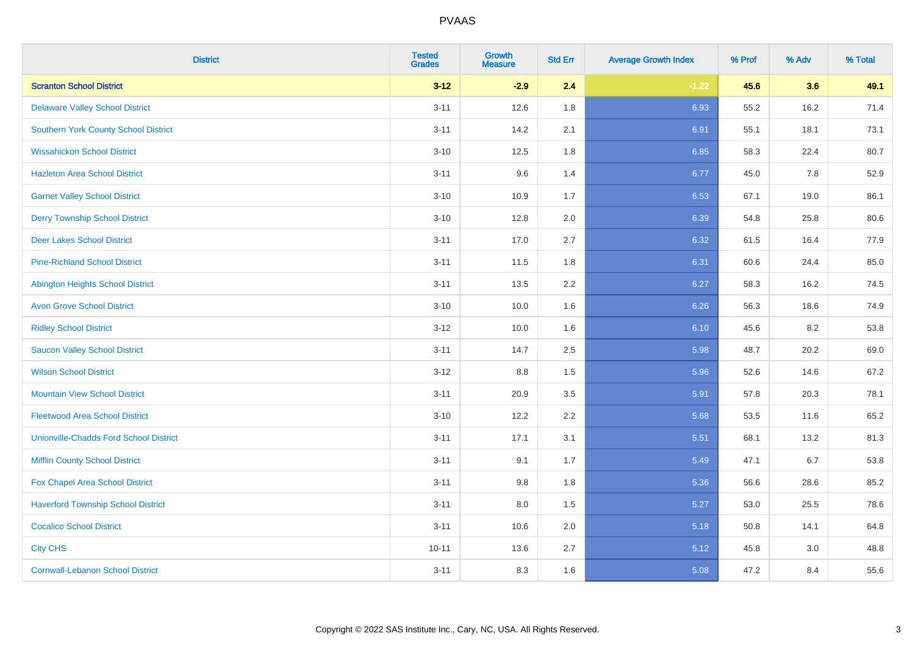| <b>District</b>                               | <b>Tested</b><br><b>Grades</b> | Growth<br><b>Measure</b> | <b>Std Err</b> | <b>Average Growth Index</b> | % Prof | % Adv | % Total |
|-----------------------------------------------|--------------------------------|--------------------------|----------------|-----------------------------|--------|-------|---------|
| <b>Scranton School District</b>               | $3 - 12$                       | $-2.9$                   | 2.4            | $-1.22$                     | 45.6   | 3.6   | 49.1    |
| <b>Delaware Valley School District</b>        | $3 - 11$                       | 12.6                     | 1.8            | 6.93                        | 55.2   | 16.2  | 71.4    |
| <b>Southern York County School District</b>   | $3 - 11$                       | 14.2                     | 2.1            | 6.91                        | 55.1   | 18.1  | 73.1    |
| <b>Wissahickon School District</b>            | $3 - 10$                       | 12.5                     | 1.8            | 6.85                        | 58.3   | 22.4  | 80.7    |
| <b>Hazleton Area School District</b>          | $3 - 11$                       | 9.6                      | 1.4            | 6.77                        | 45.0   | 7.8   | 52.9    |
| <b>Garnet Valley School District</b>          | $3 - 10$                       | 10.9                     | 1.7            | 6.53                        | 67.1   | 19.0  | 86.1    |
| <b>Derry Township School District</b>         | $3 - 10$                       | 12.8                     | 2.0            | 6.39                        | 54.8   | 25.8  | 80.6    |
| <b>Deer Lakes School District</b>             | $3 - 11$                       | 17.0                     | 2.7            | 6.32                        | 61.5   | 16.4  | 77.9    |
| <b>Pine-Richland School District</b>          | $3 - 11$                       | 11.5                     | 1.8            | 6.31                        | 60.6   | 24.4  | 85.0    |
| <b>Abington Heights School District</b>       | $3 - 11$                       | 13.5                     | 2.2            | 6.27                        | 58.3   | 16.2  | 74.5    |
| <b>Avon Grove School District</b>             | $3 - 10$                       | 10.0                     | 1.6            | 6.26                        | 56.3   | 18.6  | 74.9    |
| <b>Ridley School District</b>                 | $3 - 12$                       | 10.0                     | 1.6            | 6.10                        | 45.6   | 8.2   | 53.8    |
| <b>Saucon Valley School District</b>          | $3 - 11$                       | 14.7                     | 2.5            | 5.98                        | 48.7   | 20.2  | 69.0    |
| <b>Wilson School District</b>                 | $3 - 12$                       | 8.8                      | 1.5            | 5.96                        | 52.6   | 14.6  | 67.2    |
| <b>Mountain View School District</b>          | $3 - 11$                       | 20.9                     | 3.5            | 5.91                        | 57.8   | 20.3  | 78.1    |
| <b>Fleetwood Area School District</b>         | $3 - 10$                       | 12.2                     | 2.2            | 5.68                        | 53.5   | 11.6  | 65.2    |
| <b>Unionville-Chadds Ford School District</b> | $3 - 11$                       | 17.1                     | 3.1            | 5.51                        | 68.1   | 13.2  | 81.3    |
| <b>Mifflin County School District</b>         | $3 - 11$                       | 9.1                      | 1.7            | 5.49                        | 47.1   | 6.7   | 53.8    |
| Fox Chapel Area School District               | $3 - 11$                       | 9.8                      | 1.8            | 5.36                        | 56.6   | 28.6  | 85.2    |
| <b>Haverford Township School District</b>     | $3 - 11$                       | 8.0                      | 1.5            | 5.27                        | 53.0   | 25.5  | 78.6    |
| <b>Cocalico School District</b>               | $3 - 11$                       | 10.6                     | 2.0            | 5.18                        | 50.8   | 14.1  | 64.8    |
| <b>City CHS</b>                               | $10 - 11$                      | 13.6                     | 2.7            | 5.12                        | 45.8   | 3.0   | 48.8    |
| <b>Cornwall-Lebanon School District</b>       | $3 - 11$                       | 8.3                      | 1.6            | 5.08                        | 47.2   | 8.4   | 55.6    |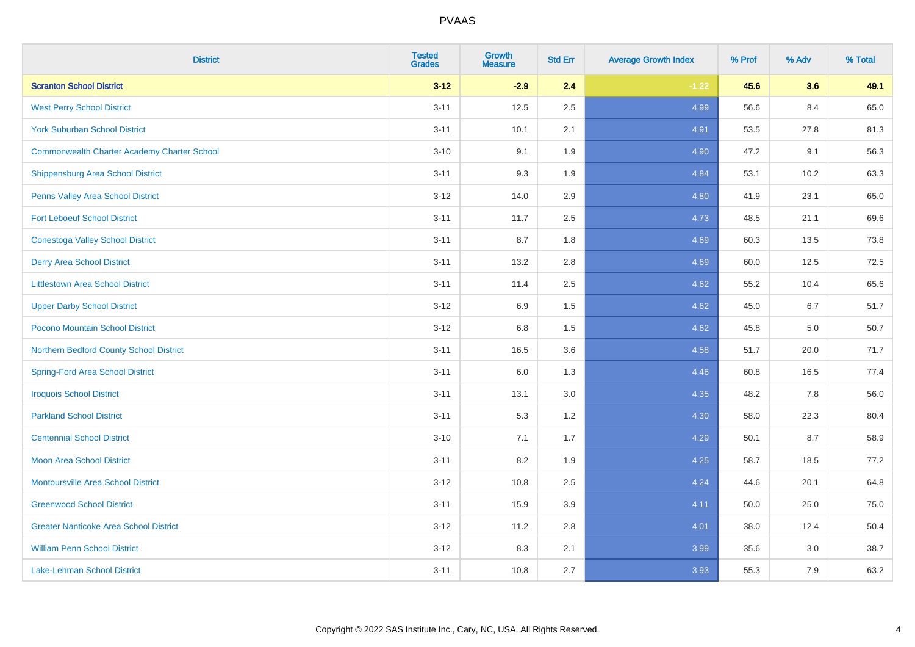| <b>District</b>                                    | <b>Tested</b><br><b>Grades</b> | <b>Growth</b><br><b>Measure</b> | <b>Std Err</b> | <b>Average Growth Index</b> | % Prof | % Adv | % Total |
|----------------------------------------------------|--------------------------------|---------------------------------|----------------|-----------------------------|--------|-------|---------|
| <b>Scranton School District</b>                    | $3 - 12$                       | $-2.9$                          | 2.4            | $-1.22$                     | 45.6   | 3.6   | 49.1    |
| <b>West Perry School District</b>                  | $3 - 11$                       | 12.5                            | 2.5            | 4.99                        | 56.6   | 8.4   | 65.0    |
| <b>York Suburban School District</b>               | $3 - 11$                       | 10.1                            | 2.1            | 4.91                        | 53.5   | 27.8  | 81.3    |
| <b>Commonwealth Charter Academy Charter School</b> | $3 - 10$                       | 9.1                             | 1.9            | 4.90                        | 47.2   | 9.1   | 56.3    |
| Shippensburg Area School District                  | $3 - 11$                       | 9.3                             | 1.9            | 4.84                        | 53.1   | 10.2  | 63.3    |
| Penns Valley Area School District                  | $3 - 12$                       | 14.0                            | 2.9            | 4.80                        | 41.9   | 23.1  | 65.0    |
| <b>Fort Leboeuf School District</b>                | $3 - 11$                       | 11.7                            | 2.5            | 4.73                        | 48.5   | 21.1  | 69.6    |
| <b>Conestoga Valley School District</b>            | $3 - 11$                       | 8.7                             | 1.8            | 4.69                        | 60.3   | 13.5  | 73.8    |
| <b>Derry Area School District</b>                  | $3 - 11$                       | 13.2                            | 2.8            | 4.69                        | 60.0   | 12.5  | 72.5    |
| <b>Littlestown Area School District</b>            | $3 - 11$                       | 11.4                            | 2.5            | 4.62                        | 55.2   | 10.4  | 65.6    |
| <b>Upper Darby School District</b>                 | $3 - 12$                       | 6.9                             | 1.5            | 4.62                        | 45.0   | 6.7   | 51.7    |
| Pocono Mountain School District                    | $3 - 12$                       | $6.8\,$                         | 1.5            | 4.62                        | 45.8   | 5.0   | 50.7    |
| Northern Bedford County School District            | $3 - 11$                       | 16.5                            | 3.6            | 4.58                        | 51.7   | 20.0  | 71.7    |
| <b>Spring-Ford Area School District</b>            | $3 - 11$                       | 6.0                             | 1.3            | 4.46                        | 60.8   | 16.5  | 77.4    |
| <b>Iroquois School District</b>                    | $3 - 11$                       | 13.1                            | 3.0            | 4.35                        | 48.2   | 7.8   | 56.0    |
| <b>Parkland School District</b>                    | $3 - 11$                       | 5.3                             | 1.2            | 4.30                        | 58.0   | 22.3  | 80.4    |
| <b>Centennial School District</b>                  | $3 - 10$                       | 7.1                             | 1.7            | 4.29                        | 50.1   | 8.7   | 58.9    |
| <b>Moon Area School District</b>                   | $3 - 11$                       | 8.2                             | 1.9            | 4.25                        | 58.7   | 18.5  | 77.2    |
| <b>Montoursville Area School District</b>          | $3 - 12$                       | 10.8                            | 2.5            | 4.24                        | 44.6   | 20.1  | 64.8    |
| <b>Greenwood School District</b>                   | $3 - 11$                       | 15.9                            | 3.9            | 4.11                        | 50.0   | 25.0  | 75.0    |
| <b>Greater Nanticoke Area School District</b>      | $3-12$                         | 11.2                            | 2.8            | 4.01                        | 38.0   | 12.4  | 50.4    |
| <b>William Penn School District</b>                | $3 - 12$                       | 8.3                             | 2.1            | 3.99                        | 35.6   | 3.0   | 38.7    |
| Lake-Lehman School District                        | $3 - 11$                       | 10.8                            | 2.7            | 3.93                        | 55.3   | 7.9   | 63.2    |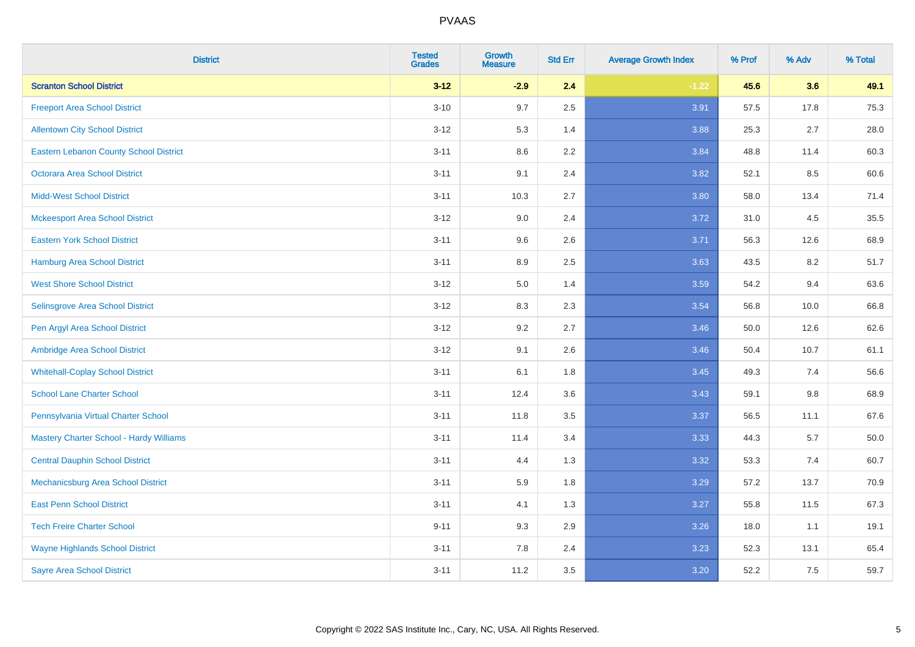| <b>District</b>                               | <b>Tested</b><br><b>Grades</b> | <b>Growth</b><br><b>Measure</b> | <b>Std Err</b> | <b>Average Growth Index</b> | % Prof | % Adv   | % Total |
|-----------------------------------------------|--------------------------------|---------------------------------|----------------|-----------------------------|--------|---------|---------|
| <b>Scranton School District</b>               | $3 - 12$                       | $-2.9$                          | 2.4            | $-1.22$                     | 45.6   | 3.6     | 49.1    |
| <b>Freeport Area School District</b>          | $3 - 10$                       | 9.7                             | 2.5            | 3.91                        | 57.5   | 17.8    | 75.3    |
| <b>Allentown City School District</b>         | $3 - 12$                       | 5.3                             | 1.4            | 3.88                        | 25.3   | 2.7     | 28.0    |
| <b>Eastern Lebanon County School District</b> | $3 - 11$                       | 8.6                             | 2.2            | 3.84                        | 48.8   | 11.4    | 60.3    |
| <b>Octorara Area School District</b>          | $3 - 11$                       | 9.1                             | 2.4            | 3.82                        | 52.1   | 8.5     | 60.6    |
| <b>Midd-West School District</b>              | $3 - 11$                       | 10.3                            | 2.7            | 3.80                        | 58.0   | 13.4    | 71.4    |
| <b>Mckeesport Area School District</b>        | $3 - 12$                       | 9.0                             | 2.4            | 3.72                        | 31.0   | 4.5     | 35.5    |
| <b>Eastern York School District</b>           | $3 - 11$                       | 9.6                             | 2.6            | 3.71                        | 56.3   | 12.6    | 68.9    |
| <b>Hamburg Area School District</b>           | $3 - 11$                       | 8.9                             | 2.5            | 3.63                        | 43.5   | 8.2     | 51.7    |
| <b>West Shore School District</b>             | $3 - 12$                       | 5.0                             | 1.4            | 3.59                        | 54.2   | 9.4     | 63.6    |
| Selinsgrove Area School District              | $3-12$                         | 8.3                             | 2.3            | 3.54                        | 56.8   | 10.0    | 66.8    |
| Pen Argyl Area School District                | $3-12$                         | 9.2                             | 2.7            | 3.46                        | 50.0   | 12.6    | 62.6    |
| Ambridge Area School District                 | $3 - 12$                       | 9.1                             | 2.6            | 3.46                        | 50.4   | 10.7    | 61.1    |
| <b>Whitehall-Coplay School District</b>       | $3 - 11$                       | 6.1                             | 1.8            | 3.45                        | 49.3   | 7.4     | 56.6    |
| <b>School Lane Charter School</b>             | $3 - 11$                       | 12.4                            | 3.6            | 3.43                        | 59.1   | $9.8\,$ | 68.9    |
| Pennsylvania Virtual Charter School           | $3 - 11$                       | 11.8                            | 3.5            | 3.37                        | 56.5   | 11.1    | 67.6    |
| Mastery Charter School - Hardy Williams       | $3 - 11$                       | 11.4                            | 3.4            | 3.33                        | 44.3   | 5.7     | 50.0    |
| <b>Central Dauphin School District</b>        | $3 - 11$                       | 4.4                             | 1.3            | 3.32                        | 53.3   | 7.4     | 60.7    |
| Mechanicsburg Area School District            | $3 - 11$                       | 5.9                             | 1.8            | 3.29                        | 57.2   | 13.7    | 70.9    |
| <b>East Penn School District</b>              | $3 - 11$                       | 4.1                             | 1.3            | 3.27                        | 55.8   | 11.5    | 67.3    |
| <b>Tech Freire Charter School</b>             | $9 - 11$                       | 9.3                             | 2.9            | 3.26                        | 18.0   | 1.1     | 19.1    |
| <b>Wayne Highlands School District</b>        | $3 - 11$                       | 7.8                             | 2.4            | 3.23                        | 52.3   | 13.1    | 65.4    |
| <b>Sayre Area School District</b>             | $3 - 11$                       | 11.2                            | 3.5            | 3.20                        | 52.2   | 7.5     | 59.7    |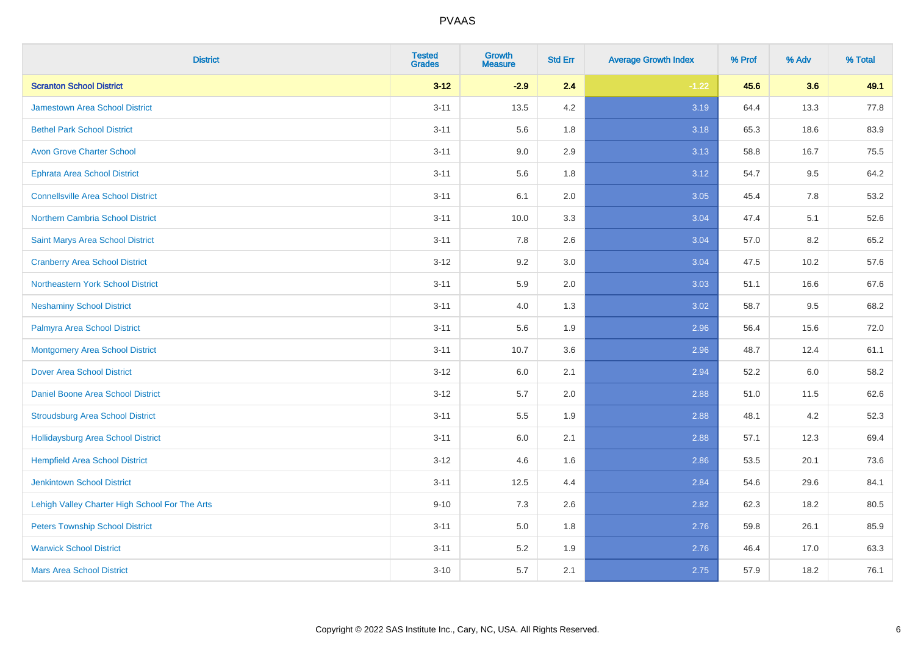| <b>District</b>                                | <b>Tested</b><br><b>Grades</b> | <b>Growth</b><br><b>Measure</b> | <b>Std Err</b> | <b>Average Growth Index</b> | % Prof | % Adv   | % Total |
|------------------------------------------------|--------------------------------|---------------------------------|----------------|-----------------------------|--------|---------|---------|
| <b>Scranton School District</b>                | $3 - 12$                       | $-2.9$                          | 2.4            | $-1.22$                     | 45.6   | 3.6     | 49.1    |
| <b>Jamestown Area School District</b>          | $3 - 11$                       | 13.5                            | 4.2            | 3.19                        | 64.4   | 13.3    | 77.8    |
| <b>Bethel Park School District</b>             | $3 - 11$                       | 5.6                             | 1.8            | 3.18                        | 65.3   | 18.6    | 83.9    |
| <b>Avon Grove Charter School</b>               | $3 - 11$                       | 9.0                             | 2.9            | 3.13                        | 58.8   | 16.7    | 75.5    |
| Ephrata Area School District                   | $3 - 11$                       | 5.6                             | 1.8            | 3.12                        | 54.7   | 9.5     | 64.2    |
| <b>Connellsville Area School District</b>      | $3 - 11$                       | 6.1                             | 2.0            | 3.05                        | 45.4   | 7.8     | 53.2    |
| Northern Cambria School District               | $3 - 11$                       | 10.0                            | 3.3            | 3.04                        | 47.4   | 5.1     | 52.6    |
| Saint Marys Area School District               | $3 - 11$                       | 7.8                             | 2.6            | 3.04                        | 57.0   | 8.2     | 65.2    |
| <b>Cranberry Area School District</b>          | $3 - 12$                       | 9.2                             | 3.0            | 3.04                        | 47.5   | 10.2    | 57.6    |
| Northeastern York School District              | $3 - 11$                       | 5.9                             | 2.0            | 3.03                        | 51.1   | 16.6    | 67.6    |
| <b>Neshaminy School District</b>               | $3 - 11$                       | 4.0                             | 1.3            | 3.02                        | 58.7   | 9.5     | 68.2    |
| Palmyra Area School District                   | $3 - 11$                       | 5.6                             | 1.9            | 2.96                        | 56.4   | 15.6    | 72.0    |
| <b>Montgomery Area School District</b>         | $3 - 11$                       | 10.7                            | 3.6            | 2.96                        | 48.7   | 12.4    | 61.1    |
| <b>Dover Area School District</b>              | $3 - 12$                       | 6.0                             | 2.1            | 2.94                        | 52.2   | $6.0\,$ | 58.2    |
| <b>Daniel Boone Area School District</b>       | $3 - 12$                       | 5.7                             | 2.0            | 2.88                        | 51.0   | 11.5    | 62.6    |
| <b>Stroudsburg Area School District</b>        | $3 - 11$                       | 5.5                             | 1.9            | 2.88                        | 48.1   | 4.2     | 52.3    |
| Hollidaysburg Area School District             | $3 - 11$                       | 6.0                             | 2.1            | 2.88                        | 57.1   | 12.3    | 69.4    |
| <b>Hempfield Area School District</b>          | $3 - 12$                       | 4.6                             | 1.6            | 2.86                        | 53.5   | 20.1    | 73.6    |
| <b>Jenkintown School District</b>              | $3 - 11$                       | 12.5                            | 4.4            | 2.84                        | 54.6   | 29.6    | 84.1    |
| Lehigh Valley Charter High School For The Arts | $9 - 10$                       | 7.3                             | 2.6            | 2.82                        | 62.3   | 18.2    | 80.5    |
| <b>Peters Township School District</b>         | $3 - 11$                       | 5.0                             | 1.8            | 2.76                        | 59.8   | 26.1    | 85.9    |
| <b>Warwick School District</b>                 | $3 - 11$                       | 5.2                             | 1.9            | 2.76                        | 46.4   | 17.0    | 63.3    |
| <b>Mars Area School District</b>               | $3 - 10$                       | 5.7                             | 2.1            | 2.75                        | 57.9   | 18.2    | 76.1    |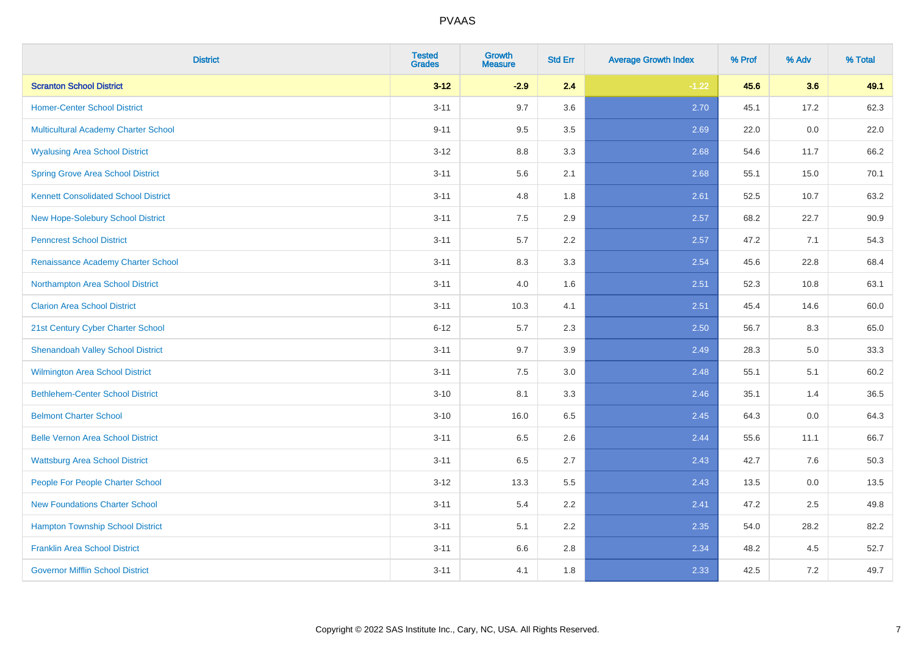| <b>District</b>                             | <b>Tested</b><br><b>Grades</b> | <b>Growth</b><br><b>Measure</b> | <b>Std Err</b> | <b>Average Growth Index</b> | % Prof | % Adv | % Total |
|---------------------------------------------|--------------------------------|---------------------------------|----------------|-----------------------------|--------|-------|---------|
| <b>Scranton School District</b>             | $3 - 12$                       | $-2.9$                          | 2.4            | $-1.22$                     | 45.6   | 3.6   | 49.1    |
| <b>Homer-Center School District</b>         | $3 - 11$                       | 9.7                             | 3.6            | 2.70                        | 45.1   | 17.2  | 62.3    |
| Multicultural Academy Charter School        | $9 - 11$                       | 9.5                             | 3.5            | 2.69                        | 22.0   | 0.0   | 22.0    |
| <b>Wyalusing Area School District</b>       | $3-12$                         | 8.8                             | 3.3            | 2.68                        | 54.6   | 11.7  | 66.2    |
| <b>Spring Grove Area School District</b>    | $3 - 11$                       | 5.6                             | 2.1            | 2.68                        | 55.1   | 15.0  | 70.1    |
| <b>Kennett Consolidated School District</b> | $3 - 11$                       | 4.8                             | 1.8            | 2.61                        | 52.5   | 10.7  | 63.2    |
| New Hope-Solebury School District           | $3 - 11$                       | 7.5                             | 2.9            | 2.57                        | 68.2   | 22.7  | 90.9    |
| <b>Penncrest School District</b>            | $3 - 11$                       | 5.7                             | 2.2            | 2.57                        | 47.2   | 7.1   | 54.3    |
| Renaissance Academy Charter School          | $3 - 11$                       | 8.3                             | 3.3            | 2.54                        | 45.6   | 22.8  | 68.4    |
| Northampton Area School District            | $3 - 11$                       | 4.0                             | 1.6            | 2.51                        | 52.3   | 10.8  | 63.1    |
| <b>Clarion Area School District</b>         | $3 - 11$                       | 10.3                            | 4.1            | 2.51                        | 45.4   | 14.6  | 60.0    |
| 21st Century Cyber Charter School           | $6 - 12$                       | 5.7                             | 2.3            | 2.50                        | 56.7   | 8.3   | 65.0    |
| <b>Shenandoah Valley School District</b>    | $3 - 11$                       | 9.7                             | 3.9            | 2.49                        | 28.3   | 5.0   | 33.3    |
| <b>Wilmington Area School District</b>      | $3 - 11$                       | $7.5\,$                         | 3.0            | 2.48                        | 55.1   | 5.1   | 60.2    |
| <b>Bethlehem-Center School District</b>     | $3 - 10$                       | 8.1                             | 3.3            | 2.46                        | 35.1   | 1.4   | 36.5    |
| <b>Belmont Charter School</b>               | $3 - 10$                       | 16.0                            | 6.5            | 2.45                        | 64.3   | 0.0   | 64.3    |
| <b>Belle Vernon Area School District</b>    | $3 - 11$                       | 6.5                             | 2.6            | 2.44                        | 55.6   | 11.1  | 66.7    |
| <b>Wattsburg Area School District</b>       | $3 - 11$                       | 6.5                             | 2.7            | 2.43                        | 42.7   | 7.6   | 50.3    |
| People For People Charter School            | $3 - 12$                       | 13.3                            | 5.5            | 2.43                        | 13.5   | 0.0   | 13.5    |
| <b>New Foundations Charter School</b>       | $3 - 11$                       | 5.4                             | 2.2            | 2.41                        | 47.2   | 2.5   | 49.8    |
| <b>Hampton Township School District</b>     | $3 - 11$                       | 5.1                             | 2.2            | 2.35                        | 54.0   | 28.2  | 82.2    |
| <b>Franklin Area School District</b>        | $3 - 11$                       | 6.6                             | 2.8            | 2.34                        | 48.2   | 4.5   | 52.7    |
| <b>Governor Mifflin School District</b>     | $3 - 11$                       | 4.1                             | 1.8            | 2.33                        | 42.5   | 7.2   | 49.7    |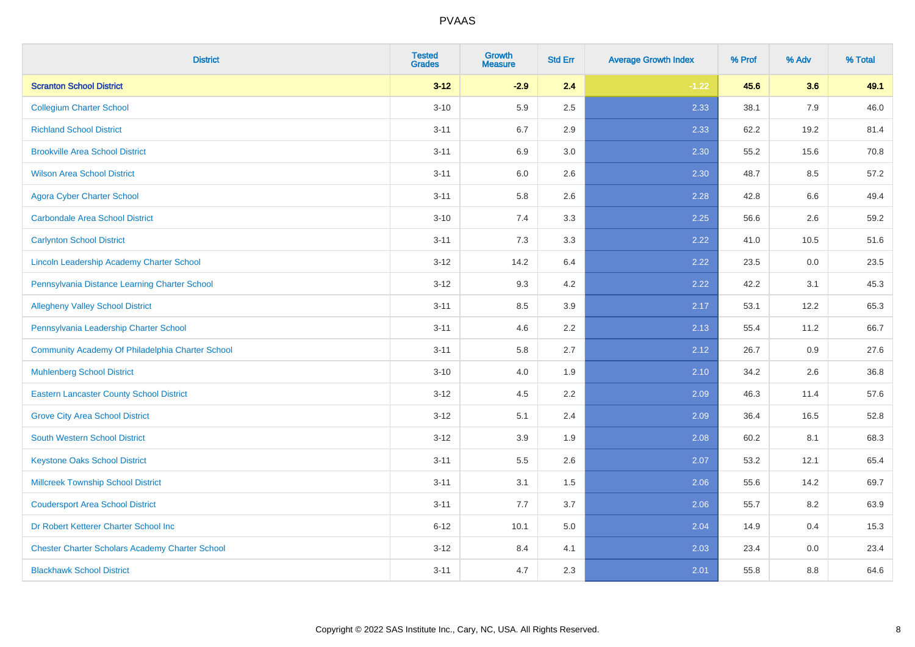| <b>District</b>                                        | <b>Tested</b><br><b>Grades</b> | Growth<br><b>Measure</b> | <b>Std Err</b> | <b>Average Growth Index</b> | % Prof | % Adv | % Total |
|--------------------------------------------------------|--------------------------------|--------------------------|----------------|-----------------------------|--------|-------|---------|
| <b>Scranton School District</b>                        | $3 - 12$                       | $-2.9$                   | 2.4            | $-1.22$                     | 45.6   | 3.6   | 49.1    |
| <b>Collegium Charter School</b>                        | $3 - 10$                       | 5.9                      | 2.5            | 2.33                        | 38.1   | 7.9   | 46.0    |
| <b>Richland School District</b>                        | $3 - 11$                       | 6.7                      | 2.9            | 2.33                        | 62.2   | 19.2  | 81.4    |
| <b>Brookville Area School District</b>                 | $3 - 11$                       | 6.9                      | 3.0            | 2.30                        | 55.2   | 15.6  | 70.8    |
| <b>Wilson Area School District</b>                     | $3 - 11$                       | 6.0                      | 2.6            | 2.30                        | 48.7   | 8.5   | 57.2    |
| <b>Agora Cyber Charter School</b>                      | $3 - 11$                       | 5.8                      | 2.6            | 2.28                        | 42.8   | 6.6   | 49.4    |
| <b>Carbondale Area School District</b>                 | $3 - 10$                       | 7.4                      | 3.3            | 2.25                        | 56.6   | 2.6   | 59.2    |
| <b>Carlynton School District</b>                       | $3 - 11$                       | 7.3                      | 3.3            | 2.22                        | 41.0   | 10.5  | 51.6    |
| Lincoln Leadership Academy Charter School              | $3 - 12$                       | 14.2                     | 6.4            | 2.22                        | 23.5   | 0.0   | 23.5    |
| Pennsylvania Distance Learning Charter School          | $3 - 12$                       | 9.3                      | 4.2            | 2.22                        | 42.2   | 3.1   | 45.3    |
| <b>Allegheny Valley School District</b>                | $3 - 11$                       | 8.5                      | 3.9            | 2.17                        | 53.1   | 12.2  | 65.3    |
| Pennsylvania Leadership Charter School                 | $3 - 11$                       | 4.6                      | 2.2            | 2.13                        | 55.4   | 11.2  | 66.7    |
| Community Academy Of Philadelphia Charter School       | $3 - 11$                       | 5.8                      | 2.7            | 2.12                        | 26.7   | 0.9   | 27.6    |
| <b>Muhlenberg School District</b>                      | $3 - 10$                       | 4.0                      | 1.9            | 2.10                        | 34.2   | 2.6   | 36.8    |
| <b>Eastern Lancaster County School District</b>        | $3 - 12$                       | 4.5                      | 2.2            | 2.09                        | 46.3   | 11.4  | 57.6    |
| <b>Grove City Area School District</b>                 | $3 - 12$                       | 5.1                      | 2.4            | 2.09                        | 36.4   | 16.5  | 52.8    |
| <b>South Western School District</b>                   | $3 - 12$                       | 3.9                      | 1.9            | 2.08                        | 60.2   | 8.1   | 68.3    |
| <b>Keystone Oaks School District</b>                   | $3 - 11$                       | $5.5\,$                  | 2.6            | 2.07                        | 53.2   | 12.1  | 65.4    |
| <b>Millcreek Township School District</b>              | $3 - 11$                       | 3.1                      | 1.5            | 2.06                        | 55.6   | 14.2  | 69.7    |
| <b>Coudersport Area School District</b>                | $3 - 11$                       | 7.7                      | 3.7            | 2.06                        | 55.7   | 8.2   | 63.9    |
| Dr Robert Ketterer Charter School Inc                  | $6 - 12$                       | 10.1                     | 5.0            | 2.04                        | 14.9   | 0.4   | 15.3    |
| <b>Chester Charter Scholars Academy Charter School</b> | $3 - 12$                       | 8.4                      | 4.1            | 2.03                        | 23.4   | 0.0   | 23.4    |
| <b>Blackhawk School District</b>                       | $3 - 11$                       | 4.7                      | 2.3            | 2.01                        | 55.8   | 8.8   | 64.6    |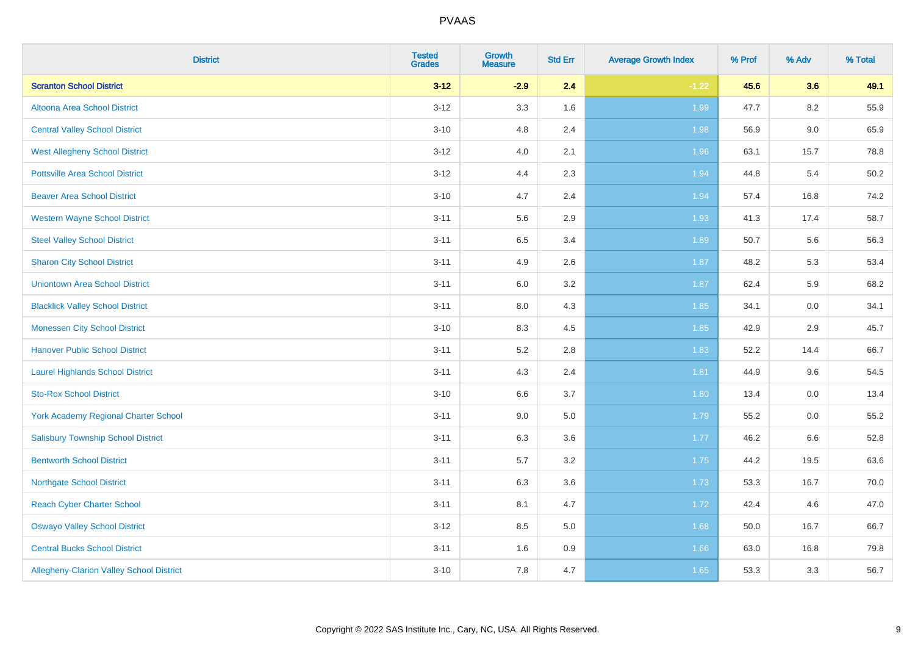| <b>District</b>                             | <b>Tested</b><br><b>Grades</b> | Growth<br><b>Measure</b> | <b>Std Err</b> | <b>Average Growth Index</b> | % Prof | % Adv | % Total |
|---------------------------------------------|--------------------------------|--------------------------|----------------|-----------------------------|--------|-------|---------|
| <b>Scranton School District</b>             | $3 - 12$                       | $-2.9$                   | 2.4            | $-1.22$                     | 45.6   | 3.6   | 49.1    |
| Altoona Area School District                | $3 - 12$                       | 3.3                      | 1.6            | 1.99                        | 47.7   | 8.2   | 55.9    |
| <b>Central Valley School District</b>       | $3 - 10$                       | 4.8                      | 2.4            | 1.98                        | 56.9   | 9.0   | 65.9    |
| <b>West Allegheny School District</b>       | $3 - 12$                       | 4.0                      | 2.1            | 1.96                        | 63.1   | 15.7  | 78.8    |
| <b>Pottsville Area School District</b>      | $3 - 12$                       | 4.4                      | 2.3            | 1.94                        | 44.8   | 5.4   | 50.2    |
| <b>Beaver Area School District</b>          | $3 - 10$                       | 4.7                      | 2.4            | 1.94                        | 57.4   | 16.8  | 74.2    |
| <b>Western Wayne School District</b>        | $3 - 11$                       | 5.6                      | 2.9            | 1.93                        | 41.3   | 17.4  | 58.7    |
| <b>Steel Valley School District</b>         | $3 - 11$                       | 6.5                      | 3.4            | 1.89                        | 50.7   | 5.6   | 56.3    |
| <b>Sharon City School District</b>          | $3 - 11$                       | 4.9                      | 2.6            | 1.87                        | 48.2   | 5.3   | 53.4    |
| <b>Uniontown Area School District</b>       | $3 - 11$                       | 6.0                      | $3.2\,$        | 1.87                        | 62.4   | 5.9   | 68.2    |
| <b>Blacklick Valley School District</b>     | $3 - 11$                       | 8.0                      | 4.3            | 1.85                        | 34.1   | 0.0   | 34.1    |
| <b>Monessen City School District</b>        | $3 - 10$                       | 8.3                      | 4.5            | 1.85                        | 42.9   | 2.9   | 45.7    |
| <b>Hanover Public School District</b>       | $3 - 11$                       | 5.2                      | 2.8            | 1.83                        | 52.2   | 14.4  | 66.7    |
| <b>Laurel Highlands School District</b>     | $3 - 11$                       | 4.3                      | 2.4            | 1.81                        | 44.9   | 9.6   | 54.5    |
| <b>Sto-Rox School District</b>              | $3 - 10$                       | 6.6                      | 3.7            | 1.80                        | 13.4   | 0.0   | 13.4    |
| <b>York Academy Regional Charter School</b> | $3 - 11$                       | 9.0                      | 5.0            | 1.79                        | 55.2   | 0.0   | 55.2    |
| <b>Salisbury Township School District</b>   | $3 - 11$                       | 6.3                      | 3.6            | 1.77                        | 46.2   | 6.6   | 52.8    |
| <b>Bentworth School District</b>            | $3 - 11$                       | 5.7                      | 3.2            | 1.75                        | 44.2   | 19.5  | 63.6    |
| <b>Northgate School District</b>            | $3 - 11$                       | 6.3                      | 3.6            | 1.73                        | 53.3   | 16.7  | 70.0    |
| <b>Reach Cyber Charter School</b>           | $3 - 11$                       | 8.1                      | 4.7            | 1.72                        | 42.4   | 4.6   | 47.0    |
| <b>Oswayo Valley School District</b>        | $3 - 12$                       | 8.5                      | 5.0            | 1.68                        | 50.0   | 16.7  | 66.7    |
| <b>Central Bucks School District</b>        | $3 - 11$                       | 1.6                      | 0.9            | 1.66                        | 63.0   | 16.8  | 79.8    |
| Allegheny-Clarion Valley School District    | $3 - 10$                       | 7.8                      | 4.7            | 1.65                        | 53.3   | 3.3   | 56.7    |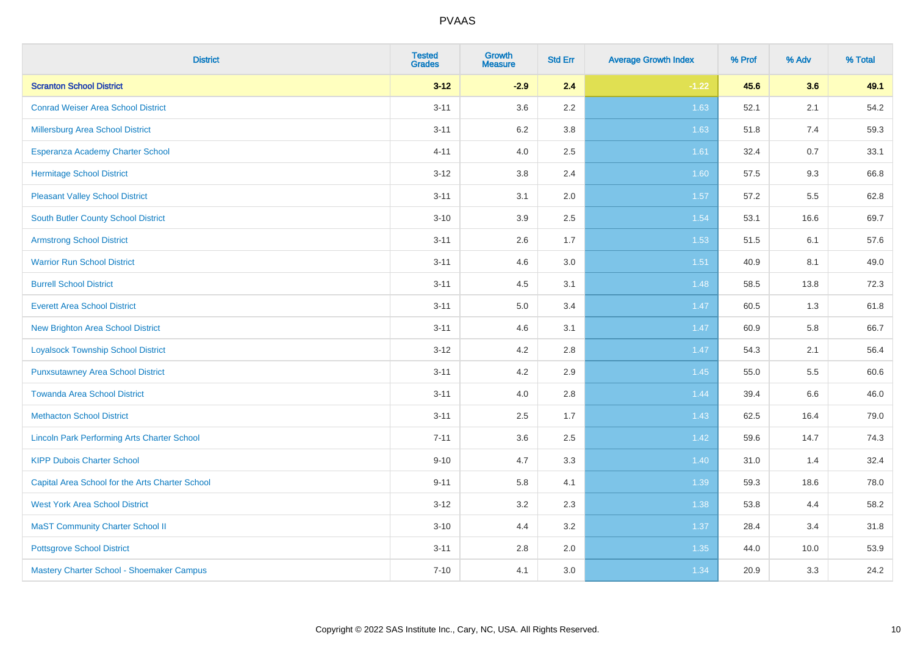| <b>District</b>                                    | <b>Tested</b><br><b>Grades</b> | <b>Growth</b><br><b>Measure</b> | <b>Std Err</b> | <b>Average Growth Index</b> | % Prof | % Adv | % Total |
|----------------------------------------------------|--------------------------------|---------------------------------|----------------|-----------------------------|--------|-------|---------|
| <b>Scranton School District</b>                    | $3 - 12$                       | $-2.9$                          | 2.4            | $-1.22$                     | 45.6   | 3.6   | 49.1    |
| <b>Conrad Weiser Area School District</b>          | $3 - 11$                       | 3.6                             | $2.2\,$        | 1.63                        | 52.1   | 2.1   | 54.2    |
| Millersburg Area School District                   | $3 - 11$                       | 6.2                             | 3.8            | 1.63                        | 51.8   | 7.4   | 59.3    |
| Esperanza Academy Charter School                   | $4 - 11$                       | 4.0                             | 2.5            | 1.61                        | 32.4   | 0.7   | 33.1    |
| <b>Hermitage School District</b>                   | $3 - 12$                       | 3.8                             | 2.4            | 1.60                        | 57.5   | 9.3   | 66.8    |
| <b>Pleasant Valley School District</b>             | $3 - 11$                       | 3.1                             | 2.0            | 1.57                        | 57.2   | 5.5   | 62.8    |
| <b>South Butler County School District</b>         | $3 - 10$                       | 3.9                             | 2.5            | 1.54                        | 53.1   | 16.6  | 69.7    |
| <b>Armstrong School District</b>                   | $3 - 11$                       | 2.6                             | 1.7            | 1.53                        | 51.5   | 6.1   | 57.6    |
| <b>Warrior Run School District</b>                 | $3 - 11$                       | 4.6                             | 3.0            | 1.51                        | 40.9   | 8.1   | 49.0    |
| <b>Burrell School District</b>                     | $3 - 11$                       | 4.5                             | 3.1            | 1.48                        | 58.5   | 13.8  | 72.3    |
| <b>Everett Area School District</b>                | $3 - 11$                       | 5.0                             | 3.4            | 1.47                        | 60.5   | 1.3   | 61.8    |
| <b>New Brighton Area School District</b>           | $3 - 11$                       | 4.6                             | 3.1            | $1.47$                      | 60.9   | 5.8   | 66.7    |
| <b>Loyalsock Township School District</b>          | $3 - 12$                       | 4.2                             | 2.8            | 1.47                        | 54.3   | 2.1   | 56.4    |
| <b>Punxsutawney Area School District</b>           | $3 - 11$                       | 4.2                             | 2.9            | 1.45                        | 55.0   | 5.5   | 60.6    |
| <b>Towanda Area School District</b>                | $3 - 11$                       | 4.0                             | 2.8            | 1.44                        | 39.4   | 6.6   | 46.0    |
| <b>Methacton School District</b>                   | $3 - 11$                       | 2.5                             | 1.7            | 1.43                        | 62.5   | 16.4  | 79.0    |
| <b>Lincoln Park Performing Arts Charter School</b> | $7 - 11$                       | 3.6                             | 2.5            | 1.42                        | 59.6   | 14.7  | 74.3    |
| <b>KIPP Dubois Charter School</b>                  | $9 - 10$                       | 4.7                             | 3.3            | 1.40                        | 31.0   | 1.4   | 32.4    |
| Capital Area School for the Arts Charter School    | $9 - 11$                       | 5.8                             | 4.1            | 1.39                        | 59.3   | 18.6  | 78.0    |
| <b>West York Area School District</b>              | $3 - 12$                       | 3.2                             | 2.3            | 1.38                        | 53.8   | 4.4   | 58.2    |
| <b>MaST Community Charter School II</b>            | $3 - 10$                       | 4.4                             | 3.2            | 1.37                        | 28.4   | 3.4   | 31.8    |
| <b>Pottsgrove School District</b>                  | $3 - 11$                       | 2.8                             | 2.0            | 1.35                        | 44.0   | 10.0  | 53.9    |
| Mastery Charter School - Shoemaker Campus          | $7 - 10$                       | 4.1                             | 3.0            | 1.34                        | 20.9   | 3.3   | 24.2    |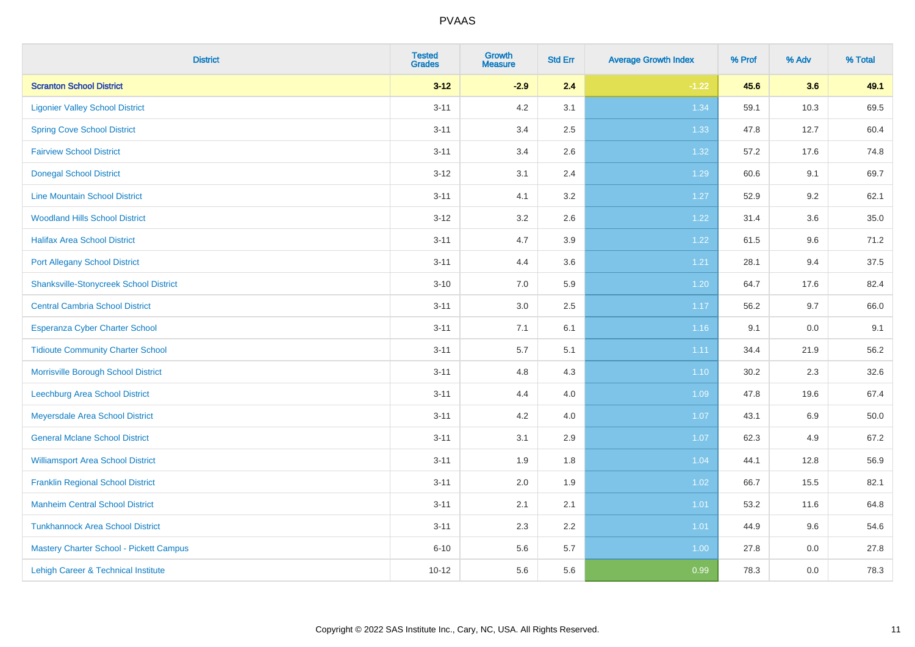| <b>District</b>                                | <b>Tested</b><br><b>Grades</b> | Growth<br><b>Measure</b> | <b>Std Err</b> | <b>Average Growth Index</b> | % Prof | % Adv | % Total |
|------------------------------------------------|--------------------------------|--------------------------|----------------|-----------------------------|--------|-------|---------|
| <b>Scranton School District</b>                | $3 - 12$                       | $-2.9$                   | 2.4            | $-1.22$                     | 45.6   | 3.6   | 49.1    |
| <b>Ligonier Valley School District</b>         | $3 - 11$                       | 4.2                      | 3.1            | 1.34                        | 59.1   | 10.3  | 69.5    |
| <b>Spring Cove School District</b>             | $3 - 11$                       | 3.4                      | 2.5            | 1.33                        | 47.8   | 12.7  | 60.4    |
| <b>Fairview School District</b>                | $3 - 11$                       | 3.4                      | 2.6            | 1.32                        | 57.2   | 17.6  | 74.8    |
| <b>Donegal School District</b>                 | $3 - 12$                       | 3.1                      | 2.4            | 1.29                        | 60.6   | 9.1   | 69.7    |
| <b>Line Mountain School District</b>           | $3 - 11$                       | 4.1                      | 3.2            | 1.27                        | 52.9   | 9.2   | 62.1    |
| <b>Woodland Hills School District</b>          | $3 - 12$                       | 3.2                      | 2.6            | 1.22                        | 31.4   | 3.6   | 35.0    |
| <b>Halifax Area School District</b>            | $3 - 11$                       | 4.7                      | 3.9            | 1.22                        | 61.5   | 9.6   | 71.2    |
| <b>Port Allegany School District</b>           | $3 - 11$                       | 4.4                      | 3.6            | 1.21                        | 28.1   | 9.4   | 37.5    |
| <b>Shanksville-Stonycreek School District</b>  | $3 - 10$                       | 7.0                      | 5.9            | 1.20                        | 64.7   | 17.6  | 82.4    |
| <b>Central Cambria School District</b>         | $3 - 11$                       | 3.0                      | 2.5            | 1.17                        | 56.2   | 9.7   | 66.0    |
| <b>Esperanza Cyber Charter School</b>          | $3 - 11$                       | 7.1                      | 6.1            | $1.16$                      | 9.1    | 0.0   | 9.1     |
| <b>Tidioute Community Charter School</b>       | $3 - 11$                       | 5.7                      | 5.1            | 1.11                        | 34.4   | 21.9  | 56.2    |
| Morrisville Borough School District            | $3 - 11$                       | 4.8                      | 4.3            | 1.10                        | 30.2   | 2.3   | 32.6    |
| Leechburg Area School District                 | $3 - 11$                       | 4.4                      | 4.0            | 1.09                        | 47.8   | 19.6  | 67.4    |
| Meyersdale Area School District                | $3 - 11$                       | 4.2                      | 4.0            | 1.07                        | 43.1   | 6.9   | 50.0    |
| <b>General Mclane School District</b>          | $3 - 11$                       | 3.1                      | 2.9            | 1.07                        | 62.3   | 4.9   | 67.2    |
| <b>Williamsport Area School District</b>       | $3 - 11$                       | 1.9                      | 1.8            | 1.04                        | 44.1   | 12.8  | 56.9    |
| <b>Franklin Regional School District</b>       | $3 - 11$                       | 2.0                      | 1.9            | 1.02                        | 66.7   | 15.5  | 82.1    |
| <b>Manheim Central School District</b>         | $3 - 11$                       | 2.1                      | 2.1            | $1.01$                      | 53.2   | 11.6  | 64.8    |
| <b>Tunkhannock Area School District</b>        | $3 - 11$                       | 2.3                      | 2.2            | 1.01                        | 44.9   | 9.6   | 54.6    |
| <b>Mastery Charter School - Pickett Campus</b> | $6 - 10$                       | 5.6                      | 5.7            | 1.00                        | 27.8   | 0.0   | 27.8    |
| Lehigh Career & Technical Institute            | $10 - 12$                      | 5.6                      | 5.6            | 0.99                        | 78.3   | 0.0   | 78.3    |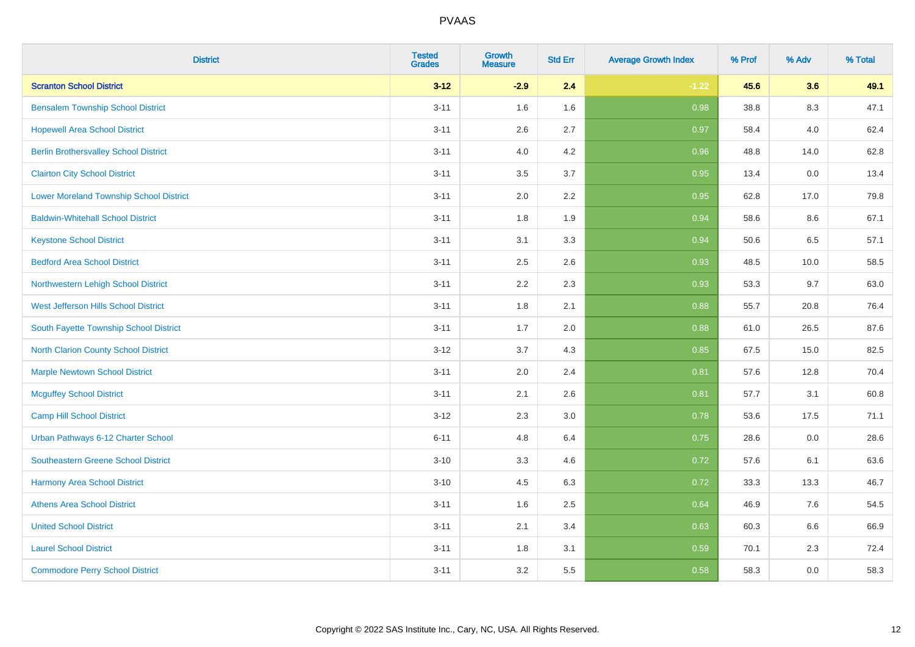| <b>District</b>                                | <b>Tested</b><br><b>Grades</b> | <b>Growth</b><br><b>Measure</b> | <b>Std Err</b> | <b>Average Growth Index</b> | % Prof | % Adv | % Total |
|------------------------------------------------|--------------------------------|---------------------------------|----------------|-----------------------------|--------|-------|---------|
| <b>Scranton School District</b>                | $3 - 12$                       | $-2.9$                          | 2.4            | $-1.22$                     | 45.6   | 3.6   | 49.1    |
| <b>Bensalem Township School District</b>       | $3 - 11$                       | 1.6                             | 1.6            | 0.98                        | 38.8   | 8.3   | 47.1    |
| <b>Hopewell Area School District</b>           | $3 - 11$                       | 2.6                             | 2.7            | 0.97                        | 58.4   | 4.0   | 62.4    |
| <b>Berlin Brothersvalley School District</b>   | $3 - 11$                       | 4.0                             | 4.2            | 0.96                        | 48.8   | 14.0  | 62.8    |
| <b>Clairton City School District</b>           | $3 - 11$                       | 3.5                             | 3.7            | 0.95                        | 13.4   | 0.0   | 13.4    |
| <b>Lower Moreland Township School District</b> | $3 - 11$                       | 2.0                             | 2.2            | 0.95                        | 62.8   | 17.0  | 79.8    |
| <b>Baldwin-Whitehall School District</b>       | $3 - 11$                       | 1.8                             | 1.9            | 0.94                        | 58.6   | 8.6   | 67.1    |
| <b>Keystone School District</b>                | $3 - 11$                       | 3.1                             | 3.3            | 0.94                        | 50.6   | 6.5   | 57.1    |
| <b>Bedford Area School District</b>            | $3 - 11$                       | 2.5                             | 2.6            | 0.93                        | 48.5   | 10.0  | 58.5    |
| Northwestern Lehigh School District            | $3 - 11$                       | 2.2                             | 2.3            | 0.93                        | 53.3   | 9.7   | 63.0    |
| West Jefferson Hills School District           | $3 - 11$                       | 1.8                             | 2.1            | 0.88                        | 55.7   | 20.8  | 76.4    |
| South Fayette Township School District         | $3 - 11$                       | 1.7                             | 2.0            | 0.88                        | 61.0   | 26.5  | 87.6    |
| <b>North Clarion County School District</b>    | $3 - 12$                       | 3.7                             | 4.3            | 0.85                        | 67.5   | 15.0  | 82.5    |
| <b>Marple Newtown School District</b>          | $3 - 11$                       | 2.0                             | 2.4            | 0.81                        | 57.6   | 12.8  | 70.4    |
| <b>Mcguffey School District</b>                | $3 - 11$                       | 2.1                             | 2.6            | 0.81                        | 57.7   | 3.1   | 60.8    |
| <b>Camp Hill School District</b>               | $3 - 12$                       | 2.3                             | 3.0            | 0.78                        | 53.6   | 17.5  | 71.1    |
| Urban Pathways 6-12 Charter School             | $6 - 11$                       | 4.8                             | 6.4            | 0.75                        | 28.6   | 0.0   | 28.6    |
| Southeastern Greene School District            | $3 - 10$                       | 3.3                             | 4.6            | $\overline{0.72}$           | 57.6   | 6.1   | 63.6    |
| <b>Harmony Area School District</b>            | $3 - 10$                       | 4.5                             | 6.3            | 0.72                        | 33.3   | 13.3  | 46.7    |
| <b>Athens Area School District</b>             | $3 - 11$                       | 1.6                             | 2.5            | 0.64                        | 46.9   | 7.6   | 54.5    |
| <b>United School District</b>                  | $3 - 11$                       | 2.1                             | 3.4            | 0.63                        | 60.3   | 6.6   | 66.9    |
| <b>Laurel School District</b>                  | $3 - 11$                       | 1.8                             | 3.1            | 0.59                        | 70.1   | 2.3   | 72.4    |
| <b>Commodore Perry School District</b>         | $3 - 11$                       | 3.2                             | 5.5            | 0.58                        | 58.3   | 0.0   | 58.3    |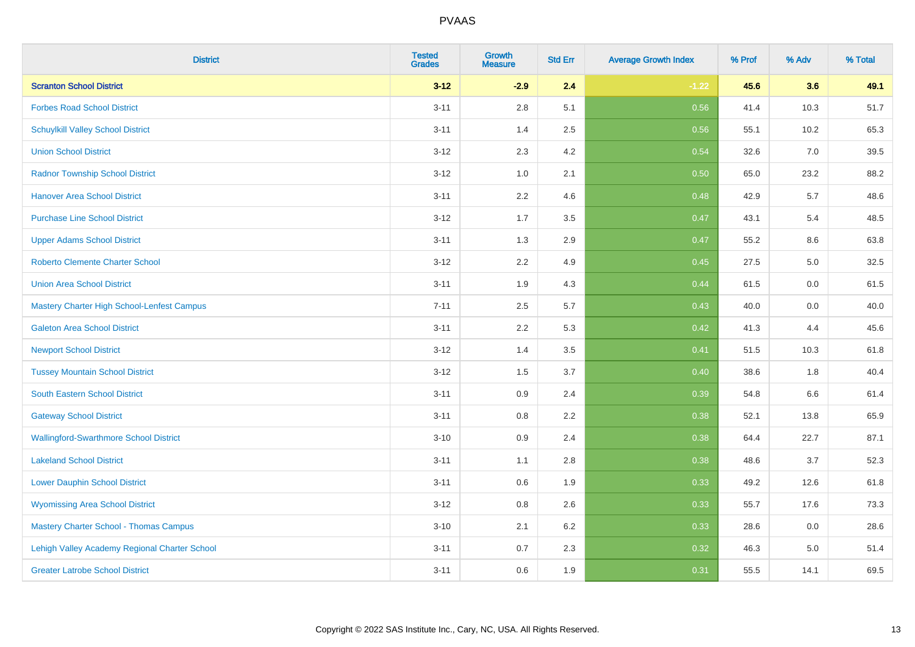| <b>District</b>                               | <b>Tested</b><br><b>Grades</b> | <b>Growth</b><br><b>Measure</b> | <b>Std Err</b> | <b>Average Growth Index</b> | % Prof | % Adv | % Total |
|-----------------------------------------------|--------------------------------|---------------------------------|----------------|-----------------------------|--------|-------|---------|
| <b>Scranton School District</b>               | $3 - 12$                       | $-2.9$                          | 2.4            | $-1.22$                     | 45.6   | 3.6   | 49.1    |
| <b>Forbes Road School District</b>            | $3 - 11$                       | $2.8\,$                         | 5.1            | 0.56                        | 41.4   | 10.3  | 51.7    |
| <b>Schuylkill Valley School District</b>      | $3 - 11$                       | 1.4                             | 2.5            | 0.56                        | 55.1   | 10.2  | 65.3    |
| <b>Union School District</b>                  | $3 - 12$                       | 2.3                             | 4.2            | 0.54                        | 32.6   | 7.0   | 39.5    |
| <b>Radnor Township School District</b>        | $3 - 12$                       | 1.0                             | 2.1            | 0.50                        | 65.0   | 23.2  | 88.2    |
| <b>Hanover Area School District</b>           | $3 - 11$                       | 2.2                             | 4.6            | 0.48                        | 42.9   | 5.7   | 48.6    |
| <b>Purchase Line School District</b>          | $3 - 12$                       | 1.7                             | 3.5            | 0.47                        | 43.1   | 5.4   | 48.5    |
| <b>Upper Adams School District</b>            | $3 - 11$                       | 1.3                             | 2.9            | 0.47                        | 55.2   | 8.6   | 63.8    |
| <b>Roberto Clemente Charter School</b>        | $3 - 12$                       | 2.2                             | 4.9            | 0.45                        | 27.5   | 5.0   | 32.5    |
| <b>Union Area School District</b>             | $3 - 11$                       | 1.9                             | 4.3            | 0.44                        | 61.5   | 0.0   | 61.5    |
| Mastery Charter High School-Lenfest Campus    | $7 - 11$                       | 2.5                             | 5.7            | 0.43                        | 40.0   | 0.0   | 40.0    |
| <b>Galeton Area School District</b>           | $3 - 11$                       | 2.2                             | 5.3            | 0.42                        | 41.3   | 4.4   | 45.6    |
| <b>Newport School District</b>                | $3 - 12$                       | 1.4                             | 3.5            | 0.41                        | 51.5   | 10.3  | 61.8    |
| <b>Tussey Mountain School District</b>        | $3 - 12$                       | 1.5                             | 3.7            | 0.40                        | 38.6   | 1.8   | 40.4    |
| <b>South Eastern School District</b>          | $3 - 11$                       | $0.9\,$                         | 2.4            | 0.39                        | 54.8   | 6.6   | 61.4    |
| <b>Gateway School District</b>                | $3 - 11$                       | $0.8\,$                         | 2.2            | 0.38                        | 52.1   | 13.8  | 65.9    |
| <b>Wallingford-Swarthmore School District</b> | $3 - 10$                       | 0.9                             | 2.4            | 0.38                        | 64.4   | 22.7  | 87.1    |
| <b>Lakeland School District</b>               | $3 - 11$                       | 1.1                             | 2.8            | 0.38                        | 48.6   | 3.7   | 52.3    |
| <b>Lower Dauphin School District</b>          | $3 - 11$                       | $0.6\,$                         | 1.9            | 0.33                        | 49.2   | 12.6  | 61.8    |
| <b>Wyomissing Area School District</b>        | $3 - 12$                       | $0.8\,$                         | 2.6            | 0.33                        | 55.7   | 17.6  | 73.3    |
| <b>Mastery Charter School - Thomas Campus</b> | $3 - 10$                       | 2.1                             | 6.2            | 0.33                        | 28.6   | 0.0   | 28.6    |
| Lehigh Valley Academy Regional Charter School | $3 - 11$                       | 0.7                             | 2.3            | 0.32                        | 46.3   | 5.0   | 51.4    |
| <b>Greater Latrobe School District</b>        | $3 - 11$                       | 0.6                             | 1.9            | 0.31                        | 55.5   | 14.1  | 69.5    |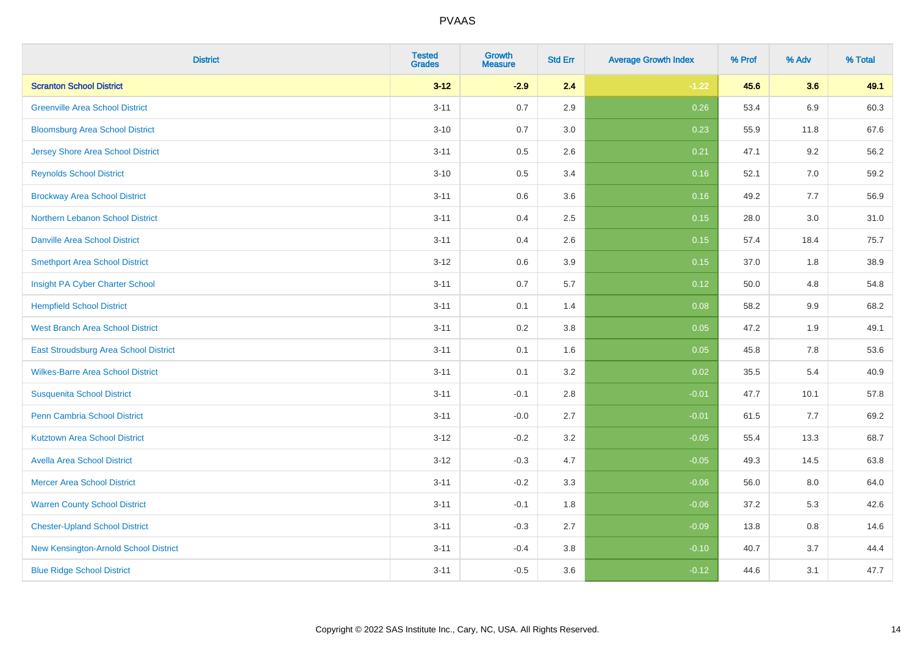| <b>District</b>                              | <b>Tested</b><br><b>Grades</b> | <b>Growth</b><br><b>Measure</b> | <b>Std Err</b> | <b>Average Growth Index</b> | % Prof | % Adv   | % Total |
|----------------------------------------------|--------------------------------|---------------------------------|----------------|-----------------------------|--------|---------|---------|
| <b>Scranton School District</b>              | $3 - 12$                       | $-2.9$                          | 2.4            | $-1.22$                     | 45.6   | 3.6     | 49.1    |
| <b>Greenville Area School District</b>       | $3 - 11$                       | $0.7\,$                         | 2.9            | 0.26                        | 53.4   | 6.9     | 60.3    |
| <b>Bloomsburg Area School District</b>       | $3 - 10$                       | 0.7                             | 3.0            | 0.23                        | 55.9   | 11.8    | 67.6    |
| <b>Jersey Shore Area School District</b>     | $3 - 11$                       | $0.5\,$                         | 2.6            | 0.21                        | 47.1   | 9.2     | 56.2    |
| <b>Reynolds School District</b>              | $3 - 10$                       | 0.5                             | 3.4            | 0.16                        | 52.1   | 7.0     | 59.2    |
| <b>Brockway Area School District</b>         | $3 - 11$                       | $0.6\,$                         | 3.6            | 0.16                        | 49.2   | 7.7     | 56.9    |
| Northern Lebanon School District             | $3 - 11$                       | 0.4                             | 2.5            | 0.15                        | 28.0   | 3.0     | 31.0    |
| <b>Danville Area School District</b>         | $3 - 11$                       | 0.4                             | 2.6            | 0.15                        | 57.4   | 18.4    | 75.7    |
| <b>Smethport Area School District</b>        | $3 - 12$                       | 0.6                             | 3.9            | 0.15                        | 37.0   | 1.8     | 38.9    |
| Insight PA Cyber Charter School              | $3 - 11$                       | $0.7\,$                         | 5.7            | 0.12                        | 50.0   | 4.8     | 54.8    |
| <b>Hempfield School District</b>             | $3 - 11$                       | 0.1                             | 1.4            | 0.08                        | 58.2   | 9.9     | 68.2    |
| <b>West Branch Area School District</b>      | $3 - 11$                       | 0.2                             | 3.8            | 0.05                        | 47.2   | 1.9     | 49.1    |
| <b>East Stroudsburg Area School District</b> | $3 - 11$                       | 0.1                             | 1.6            | 0.05                        | 45.8   | 7.8     | 53.6    |
| <b>Wilkes-Barre Area School District</b>     | $3 - 11$                       | 0.1                             | 3.2            | 0.02                        | 35.5   | 5.4     | 40.9    |
| <b>Susquenita School District</b>            | $3 - 11$                       | $-0.1$                          | 2.8            | $-0.01$                     | 47.7   | 10.1    | 57.8    |
| Penn Cambria School District                 | $3 - 11$                       | $-0.0$                          | 2.7            | $-0.01$                     | 61.5   | 7.7     | 69.2    |
| <b>Kutztown Area School District</b>         | $3 - 12$                       | $-0.2$                          | 3.2            | $-0.05$                     | 55.4   | 13.3    | 68.7    |
| <b>Avella Area School District</b>           | $3 - 12$                       | $-0.3$                          | 4.7            | $-0.05$                     | 49.3   | 14.5    | 63.8    |
| <b>Mercer Area School District</b>           | $3 - 11$                       | $-0.2$                          | 3.3            | $-0.06$                     | 56.0   | $8.0\,$ | 64.0    |
| <b>Warren County School District</b>         | $3 - 11$                       | $-0.1$                          | 1.8            | $-0.06$                     | 37.2   | 5.3     | 42.6    |
| <b>Chester-Upland School District</b>        | $3 - 11$                       | $-0.3$                          | 2.7            | $-0.09$                     | 13.8   | 0.8     | 14.6    |
| New Kensington-Arnold School District        | $3 - 11$                       | $-0.4$                          | 3.8            | $-0.10$                     | 40.7   | 3.7     | 44.4    |
| <b>Blue Ridge School District</b>            | $3 - 11$                       | $-0.5$                          | 3.6            | $-0.12$                     | 44.6   | 3.1     | 47.7    |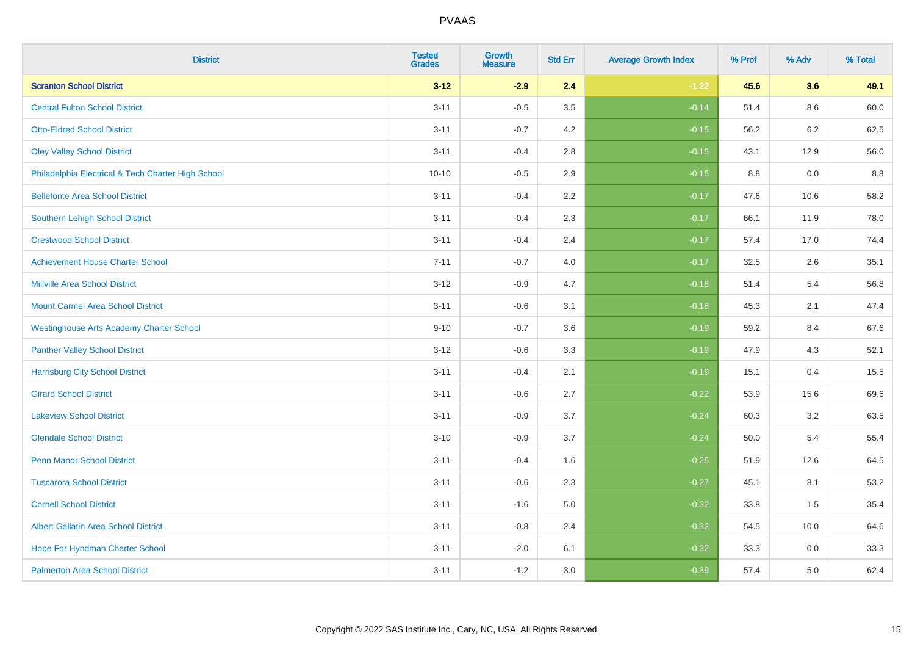| <b>District</b>                                    | <b>Tested</b><br><b>Grades</b> | <b>Growth</b><br><b>Measure</b> | <b>Std Err</b> | <b>Average Growth Index</b> | % Prof | % Adv | % Total |
|----------------------------------------------------|--------------------------------|---------------------------------|----------------|-----------------------------|--------|-------|---------|
| <b>Scranton School District</b>                    | $3 - 12$                       | $-2.9$                          | 2.4            | $-1.22$                     | 45.6   | 3.6   | 49.1    |
| <b>Central Fulton School District</b>              | $3 - 11$                       | $-0.5$                          | 3.5            | $-0.14$                     | 51.4   | 8.6   | 60.0    |
| <b>Otto-Eldred School District</b>                 | $3 - 11$                       | $-0.7$                          | 4.2            | $-0.15$                     | 56.2   | 6.2   | 62.5    |
| <b>Oley Valley School District</b>                 | $3 - 11$                       | $-0.4$                          | 2.8            | $-0.15$                     | 43.1   | 12.9  | 56.0    |
| Philadelphia Electrical & Tech Charter High School | $10 - 10$                      | $-0.5$                          | 2.9            | $-0.15$                     | 8.8    | 0.0   | 8.8     |
| <b>Bellefonte Area School District</b>             | $3 - 11$                       | $-0.4$                          | 2.2            | $-0.17$                     | 47.6   | 10.6  | 58.2    |
| <b>Southern Lehigh School District</b>             | $3 - 11$                       | $-0.4$                          | 2.3            | $-0.17$                     | 66.1   | 11.9  | 78.0    |
| <b>Crestwood School District</b>                   | $3 - 11$                       | $-0.4$                          | 2.4            | $-0.17$                     | 57.4   | 17.0  | 74.4    |
| <b>Achievement House Charter School</b>            | $7 - 11$                       | $-0.7$                          | 4.0            | $-0.17$                     | 32.5   | 2.6   | 35.1    |
| <b>Millville Area School District</b>              | $3 - 12$                       | $-0.9$                          | 4.7            | $-0.18$                     | 51.4   | 5.4   | 56.8    |
| <b>Mount Carmel Area School District</b>           | $3 - 11$                       | $-0.6$                          | 3.1            | $-0.18$                     | 45.3   | 2.1   | 47.4    |
| <b>Westinghouse Arts Academy Charter School</b>    | $9 - 10$                       | $-0.7$                          | 3.6            | $-0.19$                     | 59.2   | 8.4   | 67.6    |
| <b>Panther Valley School District</b>              | $3 - 12$                       | $-0.6$                          | 3.3            | $-0.19$                     | 47.9   | 4.3   | 52.1    |
| <b>Harrisburg City School District</b>             | $3 - 11$                       | $-0.4$                          | 2.1            | $-0.19$                     | 15.1   | 0.4   | 15.5    |
| <b>Girard School District</b>                      | $3 - 11$                       | $-0.6$                          | 2.7            | $-0.22$                     | 53.9   | 15.6  | 69.6    |
| <b>Lakeview School District</b>                    | $3 - 11$                       | $-0.9$                          | 3.7            | $-0.24$                     | 60.3   | 3.2   | 63.5    |
| <b>Glendale School District</b>                    | $3 - 10$                       | $-0.9$                          | 3.7            | $-0.24$                     | 50.0   | 5.4   | 55.4    |
| <b>Penn Manor School District</b>                  | $3 - 11$                       | $-0.4$                          | 1.6            | $-0.25$                     | 51.9   | 12.6  | 64.5    |
| <b>Tuscarora School District</b>                   | $3 - 11$                       | $-0.6$                          | 2.3            | $-0.27$                     | 45.1   | 8.1   | 53.2    |
| <b>Cornell School District</b>                     | $3 - 11$                       | $-1.6$                          | 5.0            | $-0.32$                     | 33.8   | 1.5   | 35.4    |
| <b>Albert Gallatin Area School District</b>        | $3 - 11$                       | $-0.8$                          | 2.4            | $-0.32$                     | 54.5   | 10.0  | 64.6    |
| Hope For Hyndman Charter School                    | $3 - 11$                       | $-2.0$                          | 6.1            | $-0.32$                     | 33.3   | 0.0   | 33.3    |
| <b>Palmerton Area School District</b>              | $3 - 11$                       | $-1.2$                          | 3.0            | $-0.39$                     | 57.4   | 5.0   | 62.4    |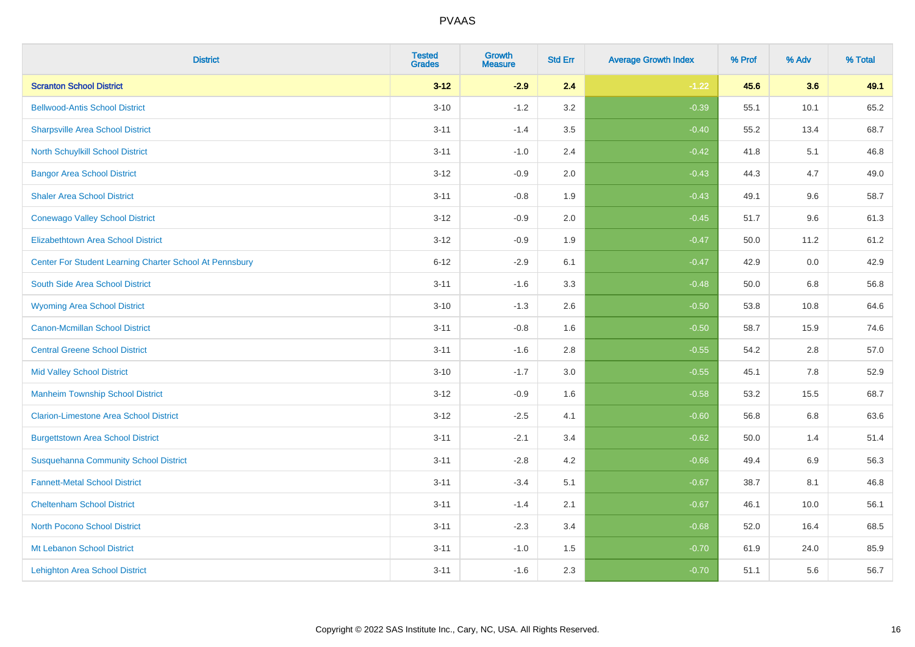| <b>District</b>                                         | <b>Tested</b><br><b>Grades</b> | <b>Growth</b><br><b>Measure</b> | <b>Std Err</b> | <b>Average Growth Index</b> | % Prof | % Adv   | % Total |
|---------------------------------------------------------|--------------------------------|---------------------------------|----------------|-----------------------------|--------|---------|---------|
| <b>Scranton School District</b>                         | $3 - 12$                       | $-2.9$                          | 2.4            | $-1.22$                     | 45.6   | 3.6     | 49.1    |
| <b>Bellwood-Antis School District</b>                   | $3 - 10$                       | $-1.2$                          | 3.2            | $-0.39$                     | 55.1   | 10.1    | 65.2    |
| <b>Sharpsville Area School District</b>                 | $3 - 11$                       | $-1.4$                          | 3.5            | $-0.40$                     | 55.2   | 13.4    | 68.7    |
| North Schuylkill School District                        | $3 - 11$                       | $-1.0$                          | 2.4            | $-0.42$                     | 41.8   | 5.1     | 46.8    |
| <b>Bangor Area School District</b>                      | $3 - 12$                       | $-0.9$                          | 2.0            | $-0.43$                     | 44.3   | 4.7     | 49.0    |
| <b>Shaler Area School District</b>                      | $3 - 11$                       | $-0.8$                          | 1.9            | $-0.43$                     | 49.1   | 9.6     | 58.7    |
| <b>Conewago Valley School District</b>                  | $3 - 12$                       | $-0.9$                          | 2.0            | $-0.45$                     | 51.7   | 9.6     | 61.3    |
| <b>Elizabethtown Area School District</b>               | $3 - 12$                       | $-0.9$                          | 1.9            | $-0.47$                     | 50.0   | 11.2    | 61.2    |
| Center For Student Learning Charter School At Pennsbury | $6 - 12$                       | $-2.9$                          | 6.1            | $-0.47$                     | 42.9   | 0.0     | 42.9    |
| South Side Area School District                         | $3 - 11$                       | $-1.6$                          | 3.3            | $-0.48$                     | 50.0   | 6.8     | 56.8    |
| <b>Wyoming Area School District</b>                     | $3 - 10$                       | $-1.3$                          | 2.6            | $-0.50$                     | 53.8   | 10.8    | 64.6    |
| <b>Canon-Mcmillan School District</b>                   | $3 - 11$                       | $-0.8$                          | 1.6            | $-0.50$                     | 58.7   | 15.9    | 74.6    |
| <b>Central Greene School District</b>                   | $3 - 11$                       | $-1.6$                          | 2.8            | $-0.55$                     | 54.2   | $2.8\,$ | 57.0    |
| <b>Mid Valley School District</b>                       | $3 - 10$                       | $-1.7$                          | 3.0            | $-0.55$                     | 45.1   | 7.8     | 52.9    |
| <b>Manheim Township School District</b>                 | $3 - 12$                       | $-0.9$                          | 1.6            | $-0.58$                     | 53.2   | 15.5    | 68.7    |
| <b>Clarion-Limestone Area School District</b>           | $3 - 12$                       | $-2.5$                          | 4.1            | $-0.60$                     | 56.8   | $6.8\,$ | 63.6    |
| <b>Burgettstown Area School District</b>                | $3 - 11$                       | $-2.1$                          | 3.4            | $-0.62$                     | 50.0   | 1.4     | 51.4    |
| <b>Susquehanna Community School District</b>            | $3 - 11$                       | $-2.8$                          | 4.2            | $-0.66$                     | 49.4   | 6.9     | 56.3    |
| <b>Fannett-Metal School District</b>                    | $3 - 11$                       | $-3.4$                          | 5.1            | $-0.67$                     | 38.7   | 8.1     | 46.8    |
| <b>Cheltenham School District</b>                       | $3 - 11$                       | $-1.4$                          | 2.1            | $-0.67$                     | 46.1   | 10.0    | 56.1    |
| <b>North Pocono School District</b>                     | $3 - 11$                       | $-2.3$                          | 3.4            | $-0.68$                     | 52.0   | 16.4    | 68.5    |
| Mt Lebanon School District                              | $3 - 11$                       | $-1.0$                          | 1.5            | $-0.70$                     | 61.9   | 24.0    | 85.9    |
| <b>Lehighton Area School District</b>                   | $3 - 11$                       | $-1.6$                          | 2.3            | $-0.70$                     | 51.1   | 5.6     | 56.7    |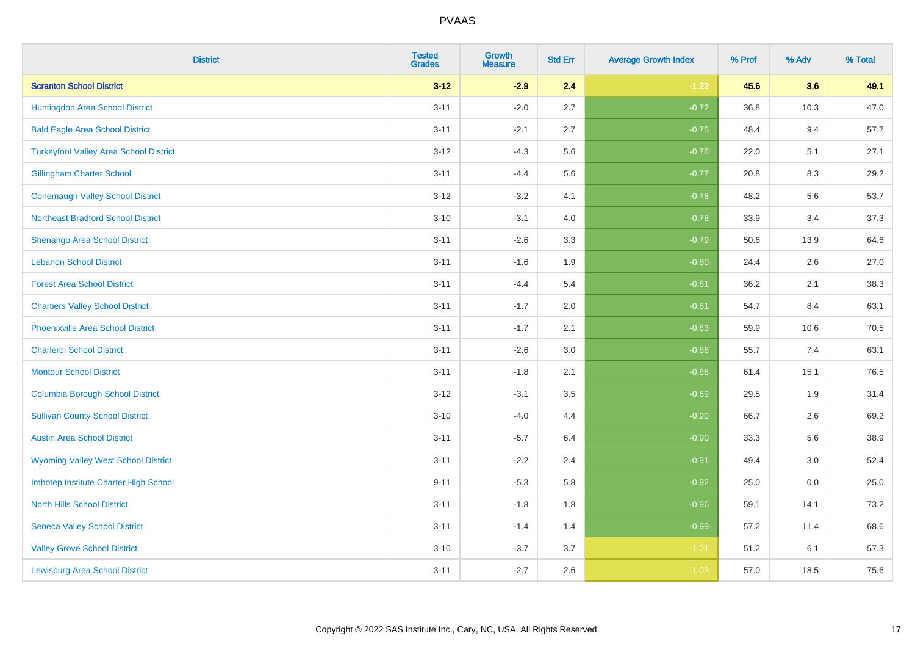| <b>District</b>                               | <b>Tested</b><br><b>Grades</b> | <b>Growth</b><br><b>Measure</b> | <b>Std Err</b> | <b>Average Growth Index</b> | % Prof | % Adv | % Total |
|-----------------------------------------------|--------------------------------|---------------------------------|----------------|-----------------------------|--------|-------|---------|
| <b>Scranton School District</b>               | $3 - 12$                       | $-2.9$                          | 2.4            | $-1.22$                     | 45.6   | 3.6   | 49.1    |
| Huntingdon Area School District               | $3 - 11$                       | $-2.0$                          | 2.7            | $-0.72$                     | 36.8   | 10.3  | 47.0    |
| <b>Bald Eagle Area School District</b>        | $3 - 11$                       | $-2.1$                          | 2.7            | $-0.75$                     | 48.4   | 9.4   | 57.7    |
| <b>Turkeyfoot Valley Area School District</b> | $3 - 12$                       | $-4.3$                          | 5.6            | $-0.76$                     | 22.0   | 5.1   | 27.1    |
| <b>Gillingham Charter School</b>              | $3 - 11$                       | $-4.4$                          | 5.6            | $-0.77$                     | 20.8   | 8.3   | 29.2    |
| <b>Conemaugh Valley School District</b>       | $3 - 12$                       | $-3.2$                          | 4.1            | $-0.78$                     | 48.2   | 5.6   | 53.7    |
| <b>Northeast Bradford School District</b>     | $3 - 10$                       | $-3.1$                          | 4.0            | $-0.78$                     | 33.9   | 3.4   | 37.3    |
| <b>Shenango Area School District</b>          | $3 - 11$                       | $-2.6$                          | 3.3            | $-0.79$                     | 50.6   | 13.9  | 64.6    |
| <b>Lebanon School District</b>                | $3 - 11$                       | $-1.6$                          | 1.9            | $-0.80$                     | 24.4   | 2.6   | 27.0    |
| <b>Forest Area School District</b>            | $3 - 11$                       | $-4.4$                          | 5.4            | $-0.81$                     | 36.2   | 2.1   | 38.3    |
| <b>Chartiers Valley School District</b>       | $3 - 11$                       | $-1.7$                          | 2.0            | $-0.81$                     | 54.7   | 8.4   | 63.1    |
| <b>Phoenixville Area School District</b>      | $3 - 11$                       | $-1.7$                          | 2.1            | $-0.83$                     | 59.9   | 10.6  | 70.5    |
| <b>Charleroi School District</b>              | $3 - 11$                       | $-2.6$                          | 3.0            | $-0.86$                     | 55.7   | 7.4   | 63.1    |
| <b>Montour School District</b>                | $3 - 11$                       | $-1.8$                          | 2.1            | $-0.88$                     | 61.4   | 15.1  | 76.5    |
| <b>Columbia Borough School District</b>       | $3 - 12$                       | $-3.1$                          | 3.5            | $-0.89$                     | 29.5   | 1.9   | 31.4    |
| <b>Sullivan County School District</b>        | $3 - 10$                       | $-4.0$                          | 4.4            | $-0.90$                     | 66.7   | 2.6   | 69.2    |
| <b>Austin Area School District</b>            | $3 - 11$                       | $-5.7$                          | 6.4            | $-0.90$                     | 33.3   | 5.6   | 38.9    |
| <b>Wyoming Valley West School District</b>    | $3 - 11$                       | $-2.2$                          | 2.4            | $-0.91$                     | 49.4   | 3.0   | 52.4    |
| Imhotep Institute Charter High School         | $9 - 11$                       | $-5.3$                          | 5.8            | $-0.92$                     | 25.0   | 0.0   | 25.0    |
| <b>North Hills School District</b>            | $3 - 11$                       | $-1.8$                          | 1.8            | $-0.96$                     | 59.1   | 14.1  | 73.2    |
| <b>Seneca Valley School District</b>          | $3 - 11$                       | $-1.4$                          | 1.4            | $-0.99$                     | 57.2   | 11.4  | 68.6    |
| <b>Valley Grove School District</b>           | $3 - 10$                       | $-3.7$                          | 3.7            | $-1.01$                     | 51.2   | 6.1   | 57.3    |
| <b>Lewisburg Area School District</b>         | $3 - 11$                       | $-2.7$                          | 2.6            | $-1.03$                     | 57.0   | 18.5  | 75.6    |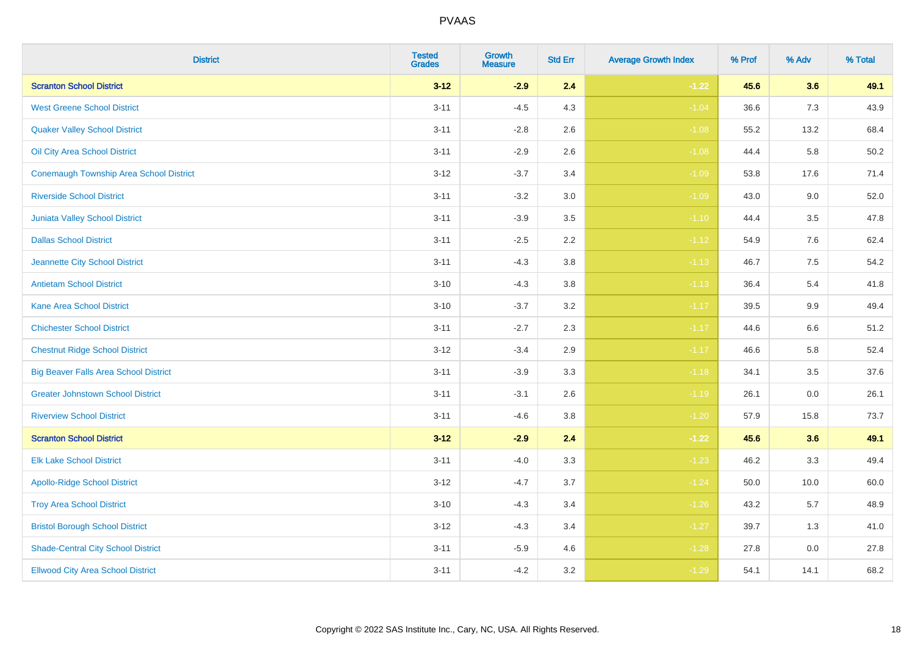| <b>District</b>                              | <b>Tested</b><br><b>Grades</b> | <b>Growth</b><br><b>Measure</b> | <b>Std Err</b> | <b>Average Growth Index</b> | % Prof | % Adv   | % Total |
|----------------------------------------------|--------------------------------|---------------------------------|----------------|-----------------------------|--------|---------|---------|
| <b>Scranton School District</b>              | $3 - 12$                       | $-2.9$                          | 2.4            | $-1.22$                     | 45.6   | 3.6     | 49.1    |
| <b>West Greene School District</b>           | $3 - 11$                       | $-4.5$                          | 4.3            | $-1.04$                     | 36.6   | 7.3     | 43.9    |
| <b>Quaker Valley School District</b>         | $3 - 11$                       | $-2.8$                          | 2.6            | $-1.08$                     | 55.2   | 13.2    | 68.4    |
| Oil City Area School District                | $3 - 11$                       | $-2.9$                          | 2.6            | $-1.08$                     | 44.4   | 5.8     | 50.2    |
| Conemaugh Township Area School District      | $3 - 12$                       | $-3.7$                          | 3.4            | $-1.09$                     | 53.8   | 17.6    | 71.4    |
| <b>Riverside School District</b>             | $3 - 11$                       | $-3.2$                          | 3.0            | $-1.09$                     | 43.0   | 9.0     | 52.0    |
| <b>Juniata Valley School District</b>        | $3 - 11$                       | $-3.9$                          | 3.5            | $-1.10$                     | 44.4   | 3.5     | 47.8    |
| <b>Dallas School District</b>                | $3 - 11$                       | $-2.5$                          | 2.2            | $-1.12$                     | 54.9   | 7.6     | 62.4    |
| Jeannette City School District               | $3 - 11$                       | $-4.3$                          | 3.8            | $-1.13$                     | 46.7   | 7.5     | 54.2    |
| <b>Antietam School District</b>              | $3 - 10$                       | $-4.3$                          | 3.8            | $-1.13$                     | 36.4   | 5.4     | 41.8    |
| <b>Kane Area School District</b>             | $3 - 10$                       | $-3.7$                          | 3.2            | $-1.17$                     | 39.5   | $9.9\,$ | 49.4    |
| <b>Chichester School District</b>            | $3 - 11$                       | $-2.7$                          | 2.3            | $-1.17$                     | 44.6   | $6.6\,$ | 51.2    |
| <b>Chestnut Ridge School District</b>        | $3 - 12$                       | $-3.4$                          | 2.9            | $-1.17$                     | 46.6   | 5.8     | 52.4    |
| <b>Big Beaver Falls Area School District</b> | $3 - 11$                       | $-3.9$                          | 3.3            | $-1.18$                     | 34.1   | 3.5     | 37.6    |
| <b>Greater Johnstown School District</b>     | $3 - 11$                       | $-3.1$                          | 2.6            | $-1.19$                     | 26.1   | 0.0     | 26.1    |
| <b>Riverview School District</b>             | $3 - 11$                       | $-4.6$                          | 3.8            | $-1.20$                     | 57.9   | 15.8    | 73.7    |
| <b>Scranton School District</b>              | $3 - 12$                       | $-2.9$                          | 2.4            | $-1.22$                     | 45.6   | 3.6     | 49.1    |
| <b>Elk Lake School District</b>              | $3 - 11$                       | $-4.0$                          | 3.3            | $-1.23$                     | 46.2   | 3.3     | 49.4    |
| <b>Apollo-Ridge School District</b>          | $3 - 12$                       | $-4.7$                          | 3.7            | $-1.24$                     | 50.0   | 10.0    | 60.0    |
| <b>Troy Area School District</b>             | $3 - 10$                       | $-4.3$                          | 3.4            | $-1.26$                     | 43.2   | 5.7     | 48.9    |
| <b>Bristol Borough School District</b>       | $3 - 12$                       | $-4.3$                          | 3.4            | $-1.27$                     | 39.7   | 1.3     | 41.0    |
| <b>Shade-Central City School District</b>    | $3 - 11$                       | $-5.9$                          | 4.6            | $-1.28$                     | 27.8   | 0.0     | 27.8    |
| <b>Ellwood City Area School District</b>     | $3 - 11$                       | $-4.2$                          | 3.2            | $-1.29$                     | 54.1   | 14.1    | 68.2    |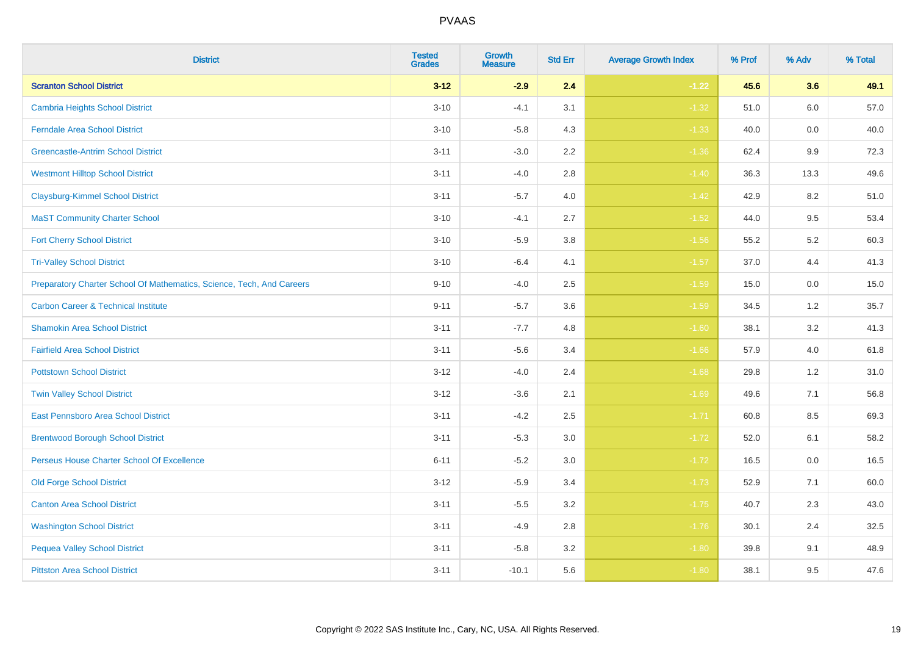| <b>District</b>                                                       | <b>Tested</b><br><b>Grades</b> | Growth<br><b>Measure</b> | <b>Std Err</b> | <b>Average Growth Index</b> | % Prof | % Adv   | % Total |
|-----------------------------------------------------------------------|--------------------------------|--------------------------|----------------|-----------------------------|--------|---------|---------|
| <b>Scranton School District</b>                                       | $3 - 12$                       | $-2.9$                   | 2.4            | $-1.22$                     | 45.6   | 3.6     | 49.1    |
| <b>Cambria Heights School District</b>                                | $3 - 10$                       | $-4.1$                   | 3.1            | $-1.32$                     | 51.0   | 6.0     | 57.0    |
| <b>Ferndale Area School District</b>                                  | $3 - 10$                       | $-5.8$                   | 4.3            | $-1.33$                     | 40.0   | 0.0     | 40.0    |
| <b>Greencastle-Antrim School District</b>                             | $3 - 11$                       | $-3.0$                   | $2.2\,$        | $-1.36$                     | 62.4   | $9.9\,$ | 72.3    |
| <b>Westmont Hilltop School District</b>                               | $3 - 11$                       | $-4.0$                   | 2.8            | $-1.40$                     | 36.3   | 13.3    | 49.6    |
| <b>Claysburg-Kimmel School District</b>                               | $3 - 11$                       | $-5.7$                   | 4.0            | $-1.42$                     | 42.9   | 8.2     | 51.0    |
| <b>MaST Community Charter School</b>                                  | $3 - 10$                       | $-4.1$                   | 2.7            | $-1.52$                     | 44.0   | 9.5     | 53.4    |
| <b>Fort Cherry School District</b>                                    | $3 - 10$                       | $-5.9$                   | 3.8            | $-1.56$                     | 55.2   | 5.2     | 60.3    |
| <b>Tri-Valley School District</b>                                     | $3 - 10$                       | $-6.4$                   | 4.1            | $-1.57$                     | 37.0   | 4.4     | 41.3    |
| Preparatory Charter School Of Mathematics, Science, Tech, And Careers | $9 - 10$                       | $-4.0$                   | $2.5\,$        | $-1.59$                     | 15.0   | 0.0     | 15.0    |
| <b>Carbon Career &amp; Technical Institute</b>                        | $9 - 11$                       | $-5.7$                   | 3.6            | $-1.59$                     | 34.5   | 1.2     | 35.7    |
| <b>Shamokin Area School District</b>                                  | $3 - 11$                       | $-7.7$                   | 4.8            | $-1.60$                     | 38.1   | 3.2     | 41.3    |
| <b>Fairfield Area School District</b>                                 | $3 - 11$                       | $-5.6$                   | 3.4            | $-1.66$                     | 57.9   | 4.0     | 61.8    |
| <b>Pottstown School District</b>                                      | $3 - 12$                       | $-4.0$                   | 2.4            | $-1.68$                     | 29.8   | 1.2     | 31.0    |
| <b>Twin Valley School District</b>                                    | $3 - 12$                       | $-3.6$                   | 2.1            | $-1.69$                     | 49.6   | 7.1     | 56.8    |
| <b>East Pennsboro Area School District</b>                            | $3 - 11$                       | $-4.2$                   | 2.5            | $-1.71$                     | 60.8   | 8.5     | 69.3    |
| <b>Brentwood Borough School District</b>                              | $3 - 11$                       | $-5.3$                   | 3.0            | $-1.72$                     | 52.0   | 6.1     | 58.2    |
| Perseus House Charter School Of Excellence                            | $6 - 11$                       | $-5.2$                   | 3.0            | $-1.72$                     | 16.5   | 0.0     | 16.5    |
| <b>Old Forge School District</b>                                      | $3 - 12$                       | $-5.9$                   | 3.4            | $-1.73$                     | 52.9   | 7.1     | 60.0    |
| <b>Canton Area School District</b>                                    | $3 - 11$                       | $-5.5$                   | 3.2            | $-1.75$                     | 40.7   | 2.3     | 43.0    |
| <b>Washington School District</b>                                     | $3 - 11$                       | $-4.9$                   | 2.8            | $-1.76$                     | 30.1   | 2.4     | 32.5    |
| <b>Pequea Valley School District</b>                                  | $3 - 11$                       | $-5.8$                   | 3.2            | $-1.80$                     | 39.8   | 9.1     | 48.9    |
| <b>Pittston Area School District</b>                                  | $3 - 11$                       | $-10.1$                  | 5.6            | $-1.80$                     | 38.1   | 9.5     | 47.6    |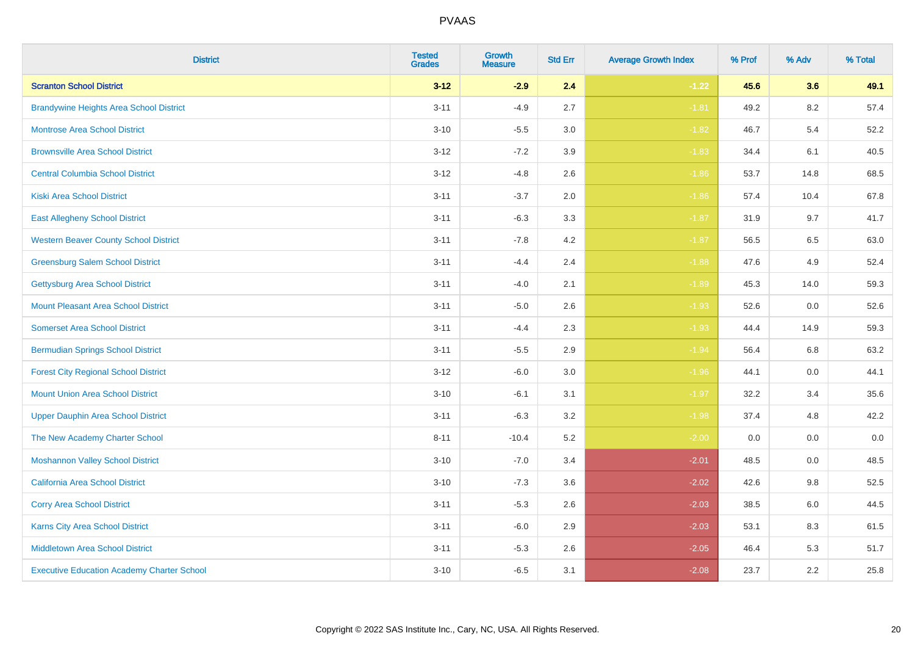| <b>District</b>                                   | <b>Tested</b><br><b>Grades</b> | Growth<br><b>Measure</b> | <b>Std Err</b> | <b>Average Growth Index</b> | % Prof | % Adv   | % Total |
|---------------------------------------------------|--------------------------------|--------------------------|----------------|-----------------------------|--------|---------|---------|
| <b>Scranton School District</b>                   | $3 - 12$                       | $-2.9$                   | 2.4            | $-1.22$                     | 45.6   | 3.6     | 49.1    |
| <b>Brandywine Heights Area School District</b>    | $3 - 11$                       | $-4.9$                   | 2.7            | $-1.81$                     | 49.2   | 8.2     | 57.4    |
| <b>Montrose Area School District</b>              | $3 - 10$                       | $-5.5$                   | 3.0            | $-1.82$                     | 46.7   | 5.4     | 52.2    |
| <b>Brownsville Area School District</b>           | $3 - 12$                       | $-7.2$                   | 3.9            | $-1.83$                     | 34.4   | 6.1     | 40.5    |
| <b>Central Columbia School District</b>           | $3 - 12$                       | $-4.8$                   | 2.6            | $-1.86$                     | 53.7   | 14.8    | 68.5    |
| <b>Kiski Area School District</b>                 | $3 - 11$                       | $-3.7$                   | 2.0            | $-1.86$                     | 57.4   | 10.4    | 67.8    |
| <b>East Allegheny School District</b>             | $3 - 11$                       | $-6.3$                   | 3.3            | $-1.87$                     | 31.9   | 9.7     | 41.7    |
| <b>Western Beaver County School District</b>      | $3 - 11$                       | $-7.8$                   | 4.2            | $-1.87$                     | 56.5   | 6.5     | 63.0    |
| <b>Greensburg Salem School District</b>           | $3 - 11$                       | $-4.4$                   | 2.4            | $-1.88$                     | 47.6   | 4.9     | 52.4    |
| <b>Gettysburg Area School District</b>            | $3 - 11$                       | $-4.0$                   | 2.1            | $-1.89$                     | 45.3   | 14.0    | 59.3    |
| <b>Mount Pleasant Area School District</b>        | $3 - 11$                       | $-5.0$                   | 2.6            | $-1.93$                     | 52.6   | 0.0     | 52.6    |
| <b>Somerset Area School District</b>              | $3 - 11$                       | $-4.4$                   | 2.3            | $-1.93$                     | 44.4   | 14.9    | 59.3    |
| <b>Bermudian Springs School District</b>          | $3 - 11$                       | $-5.5$                   | 2.9            | $-1.94$                     | 56.4   | $6.8\,$ | 63.2    |
| <b>Forest City Regional School District</b>       | $3 - 12$                       | $-6.0$                   | 3.0            | $-1.96$                     | 44.1   | 0.0     | 44.1    |
| <b>Mount Union Area School District</b>           | $3 - 10$                       | $-6.1$                   | 3.1            | $-1.97$                     | 32.2   | 3.4     | 35.6    |
| <b>Upper Dauphin Area School District</b>         | $3 - 11$                       | $-6.3$                   | 3.2            | $-1.98$                     | 37.4   | 4.8     | 42.2    |
| The New Academy Charter School                    | $8 - 11$                       | $-10.4$                  | 5.2            | $-2.00$                     | 0.0    | 0.0     | $0.0\,$ |
| <b>Moshannon Valley School District</b>           | $3 - 10$                       | $-7.0$                   | 3.4            | $-2.01$                     | 48.5   | 0.0     | 48.5    |
| <b>California Area School District</b>            | $3 - 10$                       | $-7.3$                   | 3.6            | $-2.02$                     | 42.6   | 9.8     | 52.5    |
| <b>Corry Area School District</b>                 | $3 - 11$                       | $-5.3$                   | 2.6            | $-2.03$                     | 38.5   | 6.0     | 44.5    |
| <b>Karns City Area School District</b>            | $3 - 11$                       | $-6.0$                   | 2.9            | $-2.03$                     | 53.1   | 8.3     | 61.5    |
| <b>Middletown Area School District</b>            | $3 - 11$                       | $-5.3$                   | 2.6            | $-2.05$                     | 46.4   | 5.3     | 51.7    |
| <b>Executive Education Academy Charter School</b> | $3 - 10$                       | $-6.5$                   | 3.1            | $-2.08$                     | 23.7   | 2.2     | 25.8    |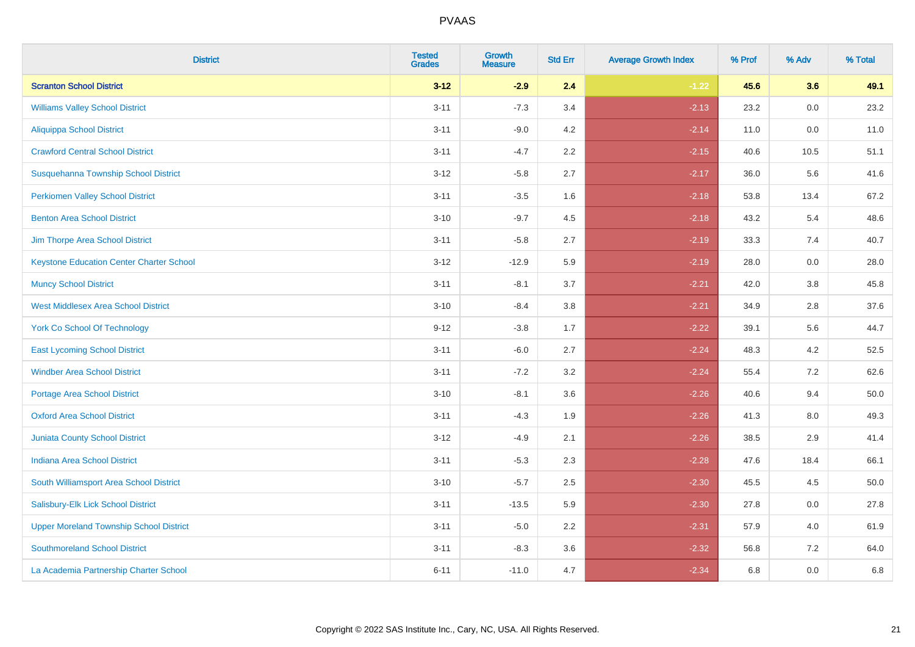| <b>District</b>                                 | <b>Tested</b><br><b>Grades</b> | <b>Growth</b><br><b>Measure</b> | <b>Std Err</b> | <b>Average Growth Index</b> | % Prof | % Adv | % Total |
|-------------------------------------------------|--------------------------------|---------------------------------|----------------|-----------------------------|--------|-------|---------|
| <b>Scranton School District</b>                 | $3 - 12$                       | $-2.9$                          | 2.4            | $-1.22$                     | 45.6   | 3.6   | 49.1    |
| <b>Williams Valley School District</b>          | $3 - 11$                       | $-7.3$                          | 3.4            | $-2.13$                     | 23.2   | 0.0   | 23.2    |
| Aliquippa School District                       | $3 - 11$                       | $-9.0$                          | 4.2            | $-2.14$                     | 11.0   | 0.0   | 11.0    |
| <b>Crawford Central School District</b>         | $3 - 11$                       | $-4.7$                          | 2.2            | $-2.15$                     | 40.6   | 10.5  | 51.1    |
| Susquehanna Township School District            | $3 - 12$                       | $-5.8$                          | 2.7            | $-2.17$                     | 36.0   | 5.6   | 41.6    |
| <b>Perkiomen Valley School District</b>         | $3 - 11$                       | $-3.5$                          | 1.6            | $-2.18$                     | 53.8   | 13.4  | 67.2    |
| <b>Benton Area School District</b>              | $3 - 10$                       | $-9.7$                          | 4.5            | $-2.18$                     | 43.2   | 5.4   | 48.6    |
| Jim Thorpe Area School District                 | $3 - 11$                       | $-5.8$                          | 2.7            | $-2.19$                     | 33.3   | 7.4   | 40.7    |
| <b>Keystone Education Center Charter School</b> | $3 - 12$                       | $-12.9$                         | 5.9            | $-2.19$                     | 28.0   | 0.0   | 28.0    |
| <b>Muncy School District</b>                    | $3 - 11$                       | $-8.1$                          | 3.7            | $-2.21$                     | 42.0   | 3.8   | 45.8    |
| <b>West Middlesex Area School District</b>      | $3 - 10$                       | $-8.4$                          | 3.8            | $-2.21$                     | 34.9   | 2.8   | 37.6    |
| <b>York Co School Of Technology</b>             | $9 - 12$                       | $-3.8$                          | 1.7            | $-2.22$                     | 39.1   | 5.6   | 44.7    |
| <b>East Lycoming School District</b>            | $3 - 11$                       | $-6.0$                          | 2.7            | $-2.24$                     | 48.3   | 4.2   | 52.5    |
| <b>Windber Area School District</b>             | $3 - 11$                       | $-7.2$                          | 3.2            | $-2.24$                     | 55.4   | 7.2   | 62.6    |
| <b>Portage Area School District</b>             | $3 - 10$                       | $-8.1$                          | 3.6            | $-2.26$                     | 40.6   | 9.4   | 50.0    |
| <b>Oxford Area School District</b>              | $3 - 11$                       | $-4.3$                          | 1.9            | $-2.26$                     | 41.3   | 8.0   | 49.3    |
| <b>Juniata County School District</b>           | $3 - 12$                       | $-4.9$                          | 2.1            | $-2.26$                     | 38.5   | 2.9   | 41.4    |
| <b>Indiana Area School District</b>             | $3 - 11$                       | $-5.3$                          | 2.3            | $-2.28$                     | 47.6   | 18.4  | 66.1    |
| South Williamsport Area School District         | $3 - 10$                       | $-5.7$                          | 2.5            | $-2.30$                     | 45.5   | 4.5   | 50.0    |
| Salisbury-Elk Lick School District              | $3 - 11$                       | $-13.5$                         | 5.9            | $-2.30$                     | 27.8   | 0.0   | 27.8    |
| <b>Upper Moreland Township School District</b>  | $3 - 11$                       | $-5.0$                          | 2.2            | $-2.31$                     | 57.9   | 4.0   | 61.9    |
| <b>Southmoreland School District</b>            | $3 - 11$                       | $-8.3$                          | 3.6            | $-2.32$                     | 56.8   | 7.2   | 64.0    |
| La Academia Partnership Charter School          | $6 - 11$                       | $-11.0$                         | 4.7            | $-2.34$                     | 6.8    | 0.0   | 6.8     |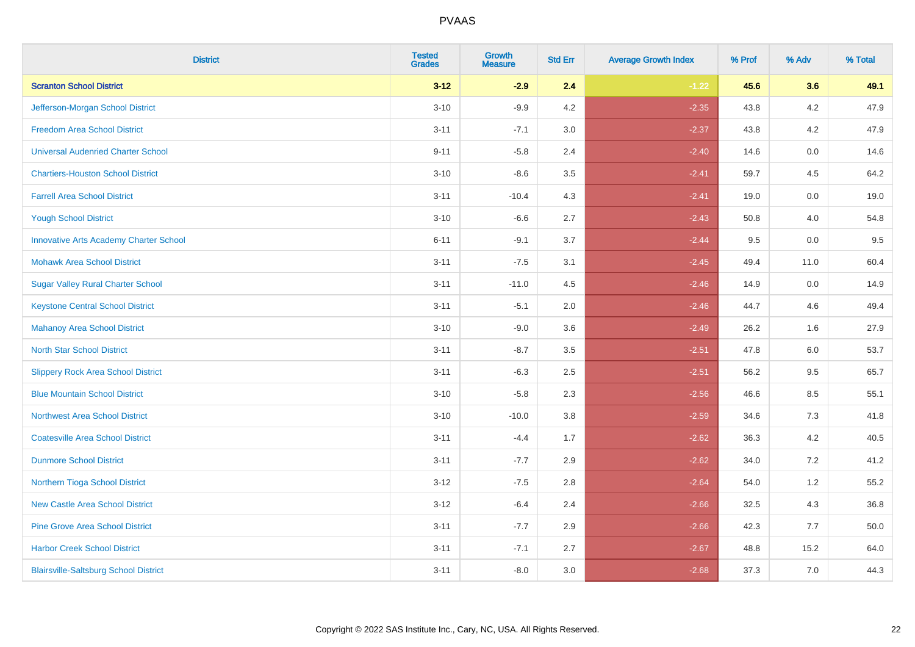| <b>District</b>                               | <b>Tested</b><br><b>Grades</b> | Growth<br><b>Measure</b> | <b>Std Err</b> | <b>Average Growth Index</b> | % Prof | % Adv | % Total |
|-----------------------------------------------|--------------------------------|--------------------------|----------------|-----------------------------|--------|-------|---------|
| <b>Scranton School District</b>               | $3 - 12$                       | $-2.9$                   | 2.4            | $-1.22$                     | 45.6   | 3.6   | 49.1    |
| Jefferson-Morgan School District              | $3 - 10$                       | $-9.9$                   | 4.2            | $-2.35$                     | 43.8   | 4.2   | 47.9    |
| <b>Freedom Area School District</b>           | $3 - 11$                       | $-7.1$                   | 3.0            | $-2.37$                     | 43.8   | 4.2   | 47.9    |
| <b>Universal Audenried Charter School</b>     | $9 - 11$                       | $-5.8$                   | 2.4            | $-2.40$                     | 14.6   | 0.0   | 14.6    |
| <b>Chartiers-Houston School District</b>      | $3 - 10$                       | $-8.6$                   | 3.5            | $-2.41$                     | 59.7   | 4.5   | 64.2    |
| <b>Farrell Area School District</b>           | $3 - 11$                       | $-10.4$                  | 4.3            | $-2.41$                     | 19.0   | 0.0   | 19.0    |
| <b>Yough School District</b>                  | $3 - 10$                       | $-6.6$                   | 2.7            | $-2.43$                     | 50.8   | 4.0   | 54.8    |
| <b>Innovative Arts Academy Charter School</b> | $6 - 11$                       | $-9.1$                   | 3.7            | $-2.44$                     | 9.5    | 0.0   | 9.5     |
| <b>Mohawk Area School District</b>            | $3 - 11$                       | $-7.5$                   | 3.1            | $-2.45$                     | 49.4   | 11.0  | 60.4    |
| <b>Sugar Valley Rural Charter School</b>      | $3 - 11$                       | $-11.0$                  | 4.5            | $-2.46$                     | 14.9   | 0.0   | 14.9    |
| <b>Keystone Central School District</b>       | $3 - 11$                       | $-5.1$                   | 2.0            | $-2.46$                     | 44.7   | 4.6   | 49.4    |
| <b>Mahanoy Area School District</b>           | $3 - 10$                       | $-9.0$                   | 3.6            | $-2.49$                     | 26.2   | 1.6   | 27.9    |
| <b>North Star School District</b>             | $3 - 11$                       | $-8.7$                   | 3.5            | $-2.51$                     | 47.8   | 6.0   | 53.7    |
| <b>Slippery Rock Area School District</b>     | $3 - 11$                       | $-6.3$                   | 2.5            | $-2.51$                     | 56.2   | 9.5   | 65.7    |
| <b>Blue Mountain School District</b>          | $3 - 10$                       | $-5.8$                   | 2.3            | $-2.56$                     | 46.6   | 8.5   | 55.1    |
| <b>Northwest Area School District</b>         | $3 - 10$                       | $-10.0$                  | 3.8            | $-2.59$                     | 34.6   | 7.3   | 41.8    |
| <b>Coatesville Area School District</b>       | $3 - 11$                       | $-4.4$                   | 1.7            | $-2.62$                     | 36.3   | 4.2   | 40.5    |
| <b>Dunmore School District</b>                | $3 - 11$                       | $-7.7$                   | 2.9            | $-2.62$                     | 34.0   | 7.2   | 41.2    |
| Northern Tioga School District                | $3 - 12$                       | $-7.5$                   | 2.8            | $-2.64$                     | 54.0   | 1.2   | 55.2    |
| <b>New Castle Area School District</b>        | $3 - 12$                       | $-6.4$                   | 2.4            | $-2.66$                     | 32.5   | 4.3   | 36.8    |
| <b>Pine Grove Area School District</b>        | $3 - 11$                       | $-7.7$                   | 2.9            | $-2.66$                     | 42.3   | 7.7   | 50.0    |
| <b>Harbor Creek School District</b>           | $3 - 11$                       | $-7.1$                   | 2.7            | $-2.67$                     | 48.8   | 15.2  | 64.0    |
| <b>Blairsville-Saltsburg School District</b>  | $3 - 11$                       | $-8.0$                   | 3.0            | $-2.68$                     | 37.3   | 7.0   | 44.3    |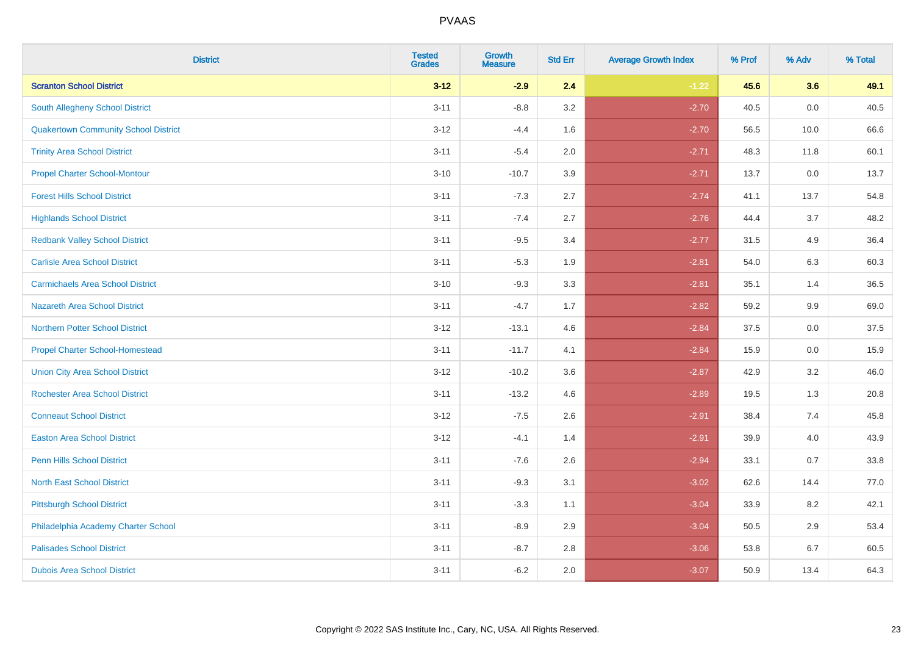| <b>District</b>                             | <b>Tested</b><br><b>Grades</b> | <b>Growth</b><br><b>Measure</b> | <b>Std Err</b> | <b>Average Growth Index</b> | % Prof | % Adv | % Total |
|---------------------------------------------|--------------------------------|---------------------------------|----------------|-----------------------------|--------|-------|---------|
| <b>Scranton School District</b>             | $3 - 12$                       | $-2.9$                          | 2.4            | $-1.22$                     | 45.6   | 3.6   | 49.1    |
| <b>South Allegheny School District</b>      | $3 - 11$                       | $-8.8$                          | 3.2            | $-2.70$                     | 40.5   | 0.0   | 40.5    |
| <b>Quakertown Community School District</b> | $3 - 12$                       | $-4.4$                          | 1.6            | $-2.70$                     | 56.5   | 10.0  | 66.6    |
| <b>Trinity Area School District</b>         | $3 - 11$                       | $-5.4$                          | 2.0            | $-2.71$                     | 48.3   | 11.8  | 60.1    |
| <b>Propel Charter School-Montour</b>        | $3 - 10$                       | $-10.7$                         | 3.9            | $-2.71$                     | 13.7   | 0.0   | 13.7    |
| <b>Forest Hills School District</b>         | $3 - 11$                       | $-7.3$                          | 2.7            | $-2.74$                     | 41.1   | 13.7  | 54.8    |
| <b>Highlands School District</b>            | $3 - 11$                       | $-7.4$                          | 2.7            | $-2.76$                     | 44.4   | 3.7   | 48.2    |
| <b>Redbank Valley School District</b>       | $3 - 11$                       | $-9.5$                          | 3.4            | $-2.77$                     | 31.5   | 4.9   | 36.4    |
| <b>Carlisle Area School District</b>        | $3 - 11$                       | $-5.3$                          | 1.9            | $-2.81$                     | 54.0   | 6.3   | 60.3    |
| <b>Carmichaels Area School District</b>     | $3 - 10$                       | $-9.3$                          | 3.3            | $-2.81$                     | 35.1   | 1.4   | 36.5    |
| <b>Nazareth Area School District</b>        | $3 - 11$                       | $-4.7$                          | 1.7            | $-2.82$                     | 59.2   | 9.9   | 69.0    |
| <b>Northern Potter School District</b>      | $3-12$                         | $-13.1$                         | 4.6            | $-2.84$                     | 37.5   | 0.0   | 37.5    |
| <b>Propel Charter School-Homestead</b>      | $3 - 11$                       | $-11.7$                         | 4.1            | $-2.84$                     | 15.9   | 0.0   | 15.9    |
| <b>Union City Area School District</b>      | $3 - 12$                       | $-10.2$                         | 3.6            | $-2.87$                     | 42.9   | 3.2   | 46.0    |
| <b>Rochester Area School District</b>       | $3 - 11$                       | $-13.2$                         | 4.6            | $-2.89$                     | 19.5   | 1.3   | 20.8    |
| <b>Conneaut School District</b>             | $3 - 12$                       | $-7.5$                          | 2.6            | $-2.91$                     | 38.4   | 7.4   | 45.8    |
| <b>Easton Area School District</b>          | $3 - 12$                       | $-4.1$                          | 1.4            | $-2.91$                     | 39.9   | 4.0   | 43.9    |
| <b>Penn Hills School District</b>           | $3 - 11$                       | $-7.6$                          | 2.6            | $-2.94$                     | 33.1   | 0.7   | 33.8    |
| <b>North East School District</b>           | $3 - 11$                       | $-9.3$                          | 3.1            | $-3.02$                     | 62.6   | 14.4  | 77.0    |
| <b>Pittsburgh School District</b>           | $3 - 11$                       | $-3.3$                          | 1.1            | $-3.04$                     | 33.9   | 8.2   | 42.1    |
| Philadelphia Academy Charter School         | $3 - 11$                       | $-8.9$                          | 2.9            | $-3.04$                     | 50.5   | 2.9   | 53.4    |
| <b>Palisades School District</b>            | $3 - 11$                       | $-8.7$                          | 2.8            | $-3.06$                     | 53.8   | 6.7   | 60.5    |
| <b>Dubois Area School District</b>          | $3 - 11$                       | $-6.2$                          | 2.0            | $-3.07$                     | 50.9   | 13.4  | 64.3    |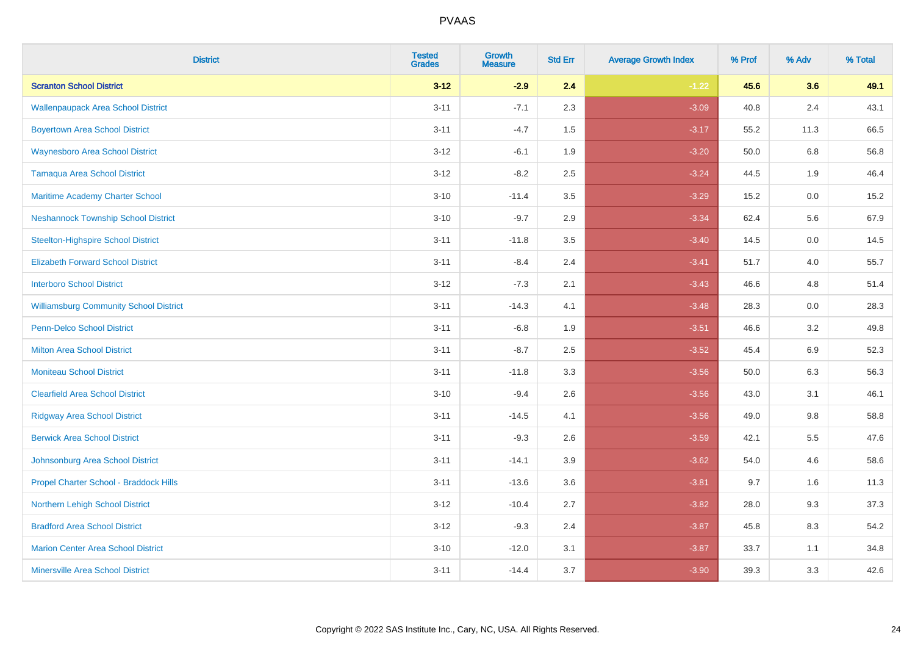| <b>District</b>                               | <b>Tested</b><br><b>Grades</b> | Growth<br><b>Measure</b> | <b>Std Err</b> | <b>Average Growth Index</b> | % Prof | % Adv   | % Total |
|-----------------------------------------------|--------------------------------|--------------------------|----------------|-----------------------------|--------|---------|---------|
| <b>Scranton School District</b>               | $3 - 12$                       | $-2.9$                   | 2.4            | $-1.22$                     | 45.6   | 3.6     | 49.1    |
| <b>Wallenpaupack Area School District</b>     | $3 - 11$                       | $-7.1$                   | 2.3            | $-3.09$                     | 40.8   | 2.4     | 43.1    |
| <b>Boyertown Area School District</b>         | $3 - 11$                       | $-4.7$                   | 1.5            | $-3.17$                     | 55.2   | 11.3    | 66.5    |
| <b>Waynesboro Area School District</b>        | $3 - 12$                       | $-6.1$                   | 1.9            | $-3.20$                     | 50.0   | $6.8\,$ | 56.8    |
| <b>Tamaqua Area School District</b>           | $3 - 12$                       | $-8.2$                   | 2.5            | $-3.24$                     | 44.5   | 1.9     | 46.4    |
| Maritime Academy Charter School               | $3 - 10$                       | $-11.4$                  | 3.5            | $-3.29$                     | 15.2   | 0.0     | 15.2    |
| <b>Neshannock Township School District</b>    | $3 - 10$                       | $-9.7$                   | 2.9            | $-3.34$                     | 62.4   | 5.6     | 67.9    |
| <b>Steelton-Highspire School District</b>     | $3 - 11$                       | $-11.8$                  | 3.5            | $-3.40$                     | 14.5   | 0.0     | 14.5    |
| <b>Elizabeth Forward School District</b>      | $3 - 11$                       | $-8.4$                   | 2.4            | $-3.41$                     | 51.7   | 4.0     | 55.7    |
| <b>Interboro School District</b>              | $3 - 12$                       | $-7.3$                   | 2.1            | $-3.43$                     | 46.6   | 4.8     | 51.4    |
| <b>Williamsburg Community School District</b> | $3 - 11$                       | $-14.3$                  | 4.1            | $-3.48$                     | 28.3   | 0.0     | 28.3    |
| <b>Penn-Delco School District</b>             | $3 - 11$                       | $-6.8$                   | 1.9            | $-3.51$                     | 46.6   | 3.2     | 49.8    |
| <b>Milton Area School District</b>            | $3 - 11$                       | $-8.7$                   | 2.5            | $-3.52$                     | 45.4   | $6.9\,$ | 52.3    |
| <b>Moniteau School District</b>               | $3 - 11$                       | $-11.8$                  | 3.3            | $-3.56$                     | 50.0   | 6.3     | 56.3    |
| <b>Clearfield Area School District</b>        | $3 - 10$                       | $-9.4$                   | 2.6            | $-3.56$                     | 43.0   | 3.1     | 46.1    |
| <b>Ridgway Area School District</b>           | $3 - 11$                       | $-14.5$                  | 4.1            | $-3.56$                     | 49.0   | 9.8     | 58.8    |
| <b>Berwick Area School District</b>           | $3 - 11$                       | $-9.3$                   | 2.6            | $-3.59$                     | 42.1   | 5.5     | 47.6    |
| Johnsonburg Area School District              | $3 - 11$                       | $-14.1$                  | 3.9            | $-3.62$                     | 54.0   | 4.6     | 58.6    |
| Propel Charter School - Braddock Hills        | $3 - 11$                       | $-13.6$                  | 3.6            | $-3.81$                     | 9.7    | 1.6     | 11.3    |
| Northern Lehigh School District               | $3 - 12$                       | $-10.4$                  | 2.7            | $-3.82$                     | 28.0   | 9.3     | 37.3    |
| <b>Bradford Area School District</b>          | $3 - 12$                       | $-9.3$                   | 2.4            | $-3.87$                     | 45.8   | 8.3     | 54.2    |
| <b>Marion Center Area School District</b>     | $3 - 10$                       | $-12.0$                  | 3.1            | $-3.87$                     | 33.7   | 1.1     | 34.8    |
| <b>Minersville Area School District</b>       | $3 - 11$                       | $-14.4$                  | 3.7            | $-3.90$                     | 39.3   | 3.3     | 42.6    |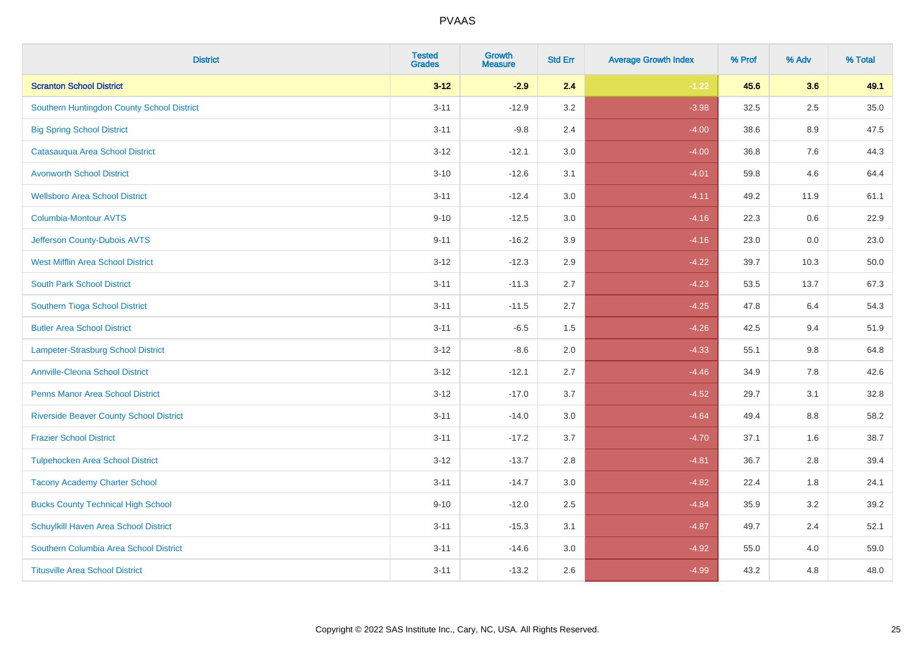| <b>District</b>                                | <b>Tested</b><br><b>Grades</b> | <b>Growth</b><br><b>Measure</b> | <b>Std Err</b> | <b>Average Growth Index</b> | % Prof | % Adv   | % Total |
|------------------------------------------------|--------------------------------|---------------------------------|----------------|-----------------------------|--------|---------|---------|
| <b>Scranton School District</b>                | $3 - 12$                       | $-2.9$                          | 2.4            | $-1.22$                     | 45.6   | 3.6     | 49.1    |
| Southern Huntingdon County School District     | $3 - 11$                       | $-12.9$                         | 3.2            | $-3.98$                     | 32.5   | $2.5\,$ | 35.0    |
| <b>Big Spring School District</b>              | $3 - 11$                       | $-9.8$                          | 2.4            | $-4.00$                     | 38.6   | 8.9     | 47.5    |
| Catasauqua Area School District                | $3 - 12$                       | $-12.1$                         | 3.0            | $-4.00$                     | 36.8   | 7.6     | 44.3    |
| <b>Avonworth School District</b>               | $3 - 10$                       | $-12.6$                         | 3.1            | $-4.01$                     | 59.8   | 4.6     | 64.4    |
| <b>Wellsboro Area School District</b>          | $3 - 11$                       | $-12.4$                         | 3.0            | $-4.11$                     | 49.2   | 11.9    | 61.1    |
| Columbia-Montour AVTS                          | $9 - 10$                       | $-12.5$                         | 3.0            | $-4.16$                     | 22.3   | 0.6     | 22.9    |
| Jefferson County-Dubois AVTS                   | $9 - 11$                       | $-16.2$                         | 3.9            | $-4.16$                     | 23.0   | 0.0     | 23.0    |
| <b>West Mifflin Area School District</b>       | $3 - 12$                       | $-12.3$                         | 2.9            | $-4.22$                     | 39.7   | 10.3    | 50.0    |
| <b>South Park School District</b>              | $3 - 11$                       | $-11.3$                         | 2.7            | $-4.23$                     | 53.5   | 13.7    | 67.3    |
| Southern Tioga School District                 | $3 - 11$                       | $-11.5$                         | 2.7            | $-4.25$                     | 47.8   | 6.4     | 54.3    |
| <b>Butler Area School District</b>             | $3 - 11$                       | $-6.5$                          | 1.5            | $-4.26$                     | 42.5   | 9.4     | 51.9    |
| <b>Lampeter-Strasburg School District</b>      | $3 - 12$                       | $-8.6$                          | 2.0            | $-4.33$                     | 55.1   | $9.8\,$ | 64.8    |
| <b>Annville-Cleona School District</b>         | $3 - 12$                       | $-12.1$                         | 2.7            | $-4.46$                     | 34.9   | $7.8\,$ | 42.6    |
| <b>Penns Manor Area School District</b>        | $3 - 12$                       | $-17.0$                         | 3.7            | $-4.52$                     | 29.7   | 3.1     | 32.8    |
| <b>Riverside Beaver County School District</b> | $3 - 11$                       | $-14.0$                         | 3.0            | $-4.64$                     | 49.4   | 8.8     | 58.2    |
| <b>Frazier School District</b>                 | $3 - 11$                       | $-17.2$                         | 3.7            | $-4.70$                     | 37.1   | 1.6     | 38.7    |
| <b>Tulpehocken Area School District</b>        | $3 - 12$                       | $-13.7$                         | 2.8            | $-4.81$                     | 36.7   | 2.8     | 39.4    |
| <b>Tacony Academy Charter School</b>           | $3 - 11$                       | $-14.7$                         | 3.0            | $-4.82$                     | 22.4   | 1.8     | 24.1    |
| <b>Bucks County Technical High School</b>      | $9 - 10$                       | $-12.0$                         | 2.5            | $-4.84$                     | 35.9   | 3.2     | 39.2    |
| Schuylkill Haven Area School District          | $3 - 11$                       | $-15.3$                         | 3.1            | $-4.87$                     | 49.7   | 2.4     | 52.1    |
| Southern Columbia Area School District         | $3 - 11$                       | $-14.6$                         | 3.0            | $-4.92$                     | 55.0   | 4.0     | 59.0    |
| <b>Titusville Area School District</b>         | $3 - 11$                       | $-13.2$                         | 2.6            | $-4.99$                     | 43.2   | 4.8     | 48.0    |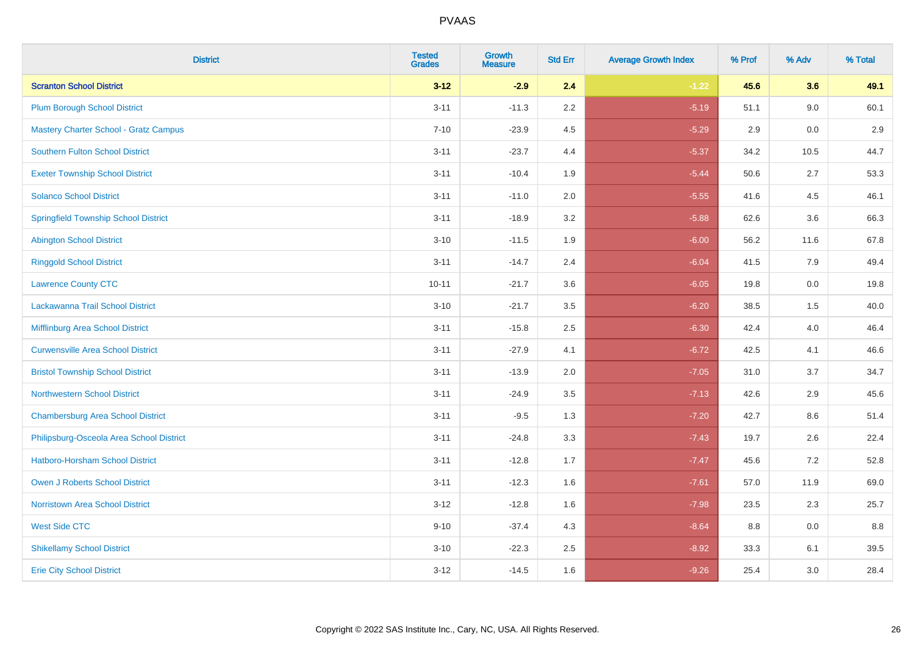| <b>District</b>                              | <b>Tested</b><br><b>Grades</b> | <b>Growth</b><br><b>Measure</b> | <b>Std Err</b> | <b>Average Growth Index</b> | % Prof | % Adv | % Total |
|----------------------------------------------|--------------------------------|---------------------------------|----------------|-----------------------------|--------|-------|---------|
| <b>Scranton School District</b>              | $3 - 12$                       | $-2.9$                          | 2.4            | $-1.22$                     | 45.6   | 3.6   | 49.1    |
| <b>Plum Borough School District</b>          | $3 - 11$                       | $-11.3$                         | 2.2            | $-5.19$                     | 51.1   | 9.0   | 60.1    |
| <b>Mastery Charter School - Gratz Campus</b> | $7 - 10$                       | $-23.9$                         | 4.5            | $-5.29$                     | 2.9    | 0.0   | 2.9     |
| <b>Southern Fulton School District</b>       | $3 - 11$                       | $-23.7$                         | 4.4            | $-5.37$                     | 34.2   | 10.5  | 44.7    |
| <b>Exeter Township School District</b>       | $3 - 11$                       | $-10.4$                         | 1.9            | $-5.44$                     | 50.6   | 2.7   | 53.3    |
| <b>Solanco School District</b>               | $3 - 11$                       | $-11.0$                         | 2.0            | $-5.55$                     | 41.6   | 4.5   | 46.1    |
| <b>Springfield Township School District</b>  | $3 - 11$                       | $-18.9$                         | 3.2            | $-5.88$                     | 62.6   | 3.6   | 66.3    |
| <b>Abington School District</b>              | $3 - 10$                       | $-11.5$                         | 1.9            | $-6.00$                     | 56.2   | 11.6  | 67.8    |
| <b>Ringgold School District</b>              | $3 - 11$                       | $-14.7$                         | 2.4            | $-6.04$                     | 41.5   | 7.9   | 49.4    |
| <b>Lawrence County CTC</b>                   | $10 - 11$                      | $-21.7$                         | 3.6            | $-6.05$                     | 19.8   | 0.0   | 19.8    |
| Lackawanna Trail School District             | $3 - 10$                       | $-21.7$                         | 3.5            | $-6.20$                     | 38.5   | 1.5   | 40.0    |
| Mifflinburg Area School District             | $3 - 11$                       | $-15.8$                         | 2.5            | $-6.30$                     | 42.4   | 4.0   | 46.4    |
| <b>Curwensville Area School District</b>     | $3 - 11$                       | $-27.9$                         | 4.1            | $-6.72$                     | 42.5   | 4.1   | 46.6    |
| <b>Bristol Township School District</b>      | $3 - 11$                       | $-13.9$                         | 2.0            | $-7.05$                     | 31.0   | 3.7   | 34.7    |
| <b>Northwestern School District</b>          | $3 - 11$                       | $-24.9$                         | 3.5            | $-7.13$                     | 42.6   | 2.9   | 45.6    |
| <b>Chambersburg Area School District</b>     | $3 - 11$                       | $-9.5$                          | 1.3            | $-7.20$                     | 42.7   | 8.6   | 51.4    |
| Philipsburg-Osceola Area School District     | $3 - 11$                       | $-24.8$                         | 3.3            | $-7.43$                     | 19.7   | 2.6   | 22.4    |
| <b>Hatboro-Horsham School District</b>       | $3 - 11$                       | $-12.8$                         | 1.7            | $-7.47$                     | 45.6   | 7.2   | 52.8    |
| <b>Owen J Roberts School District</b>        | $3 - 11$                       | $-12.3$                         | 1.6            | $-7.61$                     | 57.0   | 11.9  | 69.0    |
| <b>Norristown Area School District</b>       | $3 - 12$                       | $-12.8$                         | 1.6            | $-7.98$                     | 23.5   | 2.3   | 25.7    |
| <b>West Side CTC</b>                         | $9 - 10$                       | $-37.4$                         | 4.3            | $-8.64$                     | 8.8    | 0.0   | 8.8     |
| <b>Shikellamy School District</b>            | $3 - 10$                       | $-22.3$                         | 2.5            | $-8.92$                     | 33.3   | 6.1   | 39.5    |
| <b>Erie City School District</b>             | $3 - 12$                       | $-14.5$                         | 1.6            | $-9.26$                     | 25.4   | 3.0   | 28.4    |